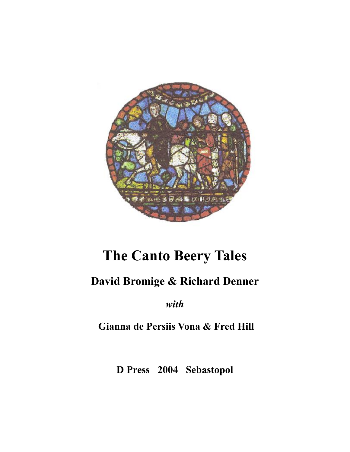

# **The Canto Beery Tales**

# **David Bromige & Richard Denner**

*with*

**Gianna de Persiis Vona & Fred Hill**

**D Press 2004 Sebastopol**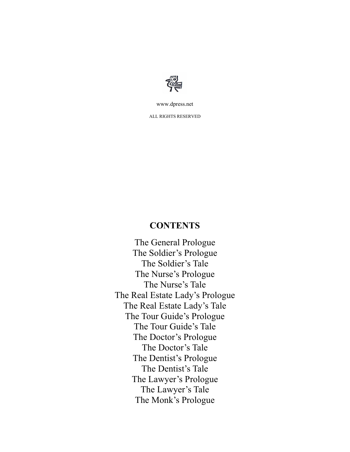

www.dpress.net

ALL RIGHTS RESERVED

#### **CONTENTS**

The General Prologue The Soldier's Prologue The Soldier's Tale The Nurse's Prologue The Nurse's Tale The Real Estate Lady's Prologue The Real Estate Lady's Tale The Tour Guide's Prologue The Tour Guide's Tale The Doctor's Prologue The Doctor's Tale The Dentist's Prologue The Dentist's Tale The Lawyer's Prologue The Lawyer's Tale The Monk's Prologue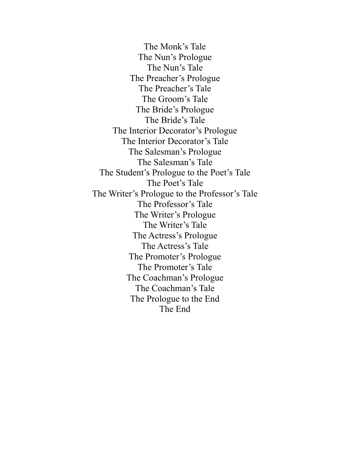The Monk's Tale The Nun's Prologue The Nun's Tale The Preacher's Prologue The Preacher's Tale The Groom's Tale The Bride's Prologue The Bride's Tale The Interior Decorator's Prologue The Interior Decorator's Tale The Salesman's Prologue The Salesman's Tale The Student's Prologue to the Poet's Tale The Poet's Tale The Writer's Prologue to the Professor's Tale The Professor's Tale The Writer's Prologue The Writer's Tale The Actress's Prologue The Actress's Tale The Promoter's Prologue The Promoter's Tale The Coachman's Prologue The Coachman's Tale The Prologue to the End The End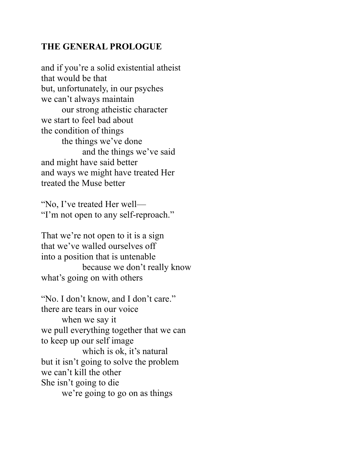# **THE GENERAL PROLOGUE**

and if you're a solid existential atheist that would be that but, unfortunately, in our psyches we can't always maintain our strong atheistic character we start to feel bad about the condition of things the things we've done and the things we've said and might have said better and ways we might have treated Her treated the Muse better

"No, I've treated Her well— "I'm not open to any self-reproach."

That we're not open to it is a sign that we've walled ourselves off into a position that is untenable because we don't really know what's going on with others

"No. I don't know, and I don't care." there are tears in our voice when we say it we pull everything together that we can to keep up our self image which is ok, it's natural but it isn't going to solve the problem we can't kill the other She isn't going to die we're going to go on as things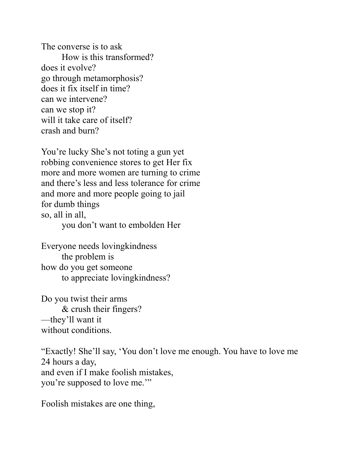The converse is to ask How is this transformed? does it evolve? go through metamorphosis? does it fix itself in time? can we intervene? can we stop it? will it take care of itself? crash and burn?

You're lucky She's not toting a gun yet robbing convenience stores to get Her fix more and more women are turning to crime and there's less and less tolerance for crime and more and more people going to jail for dumb things so, all in all, you don't want to embolden Her

Everyone needs lovingkindness the problem is how do you get someone to appreciate lovingkindness?

Do you twist their arms & crush their fingers? —they'll want it without conditions.

"Exactly! She'll say, 'You don't love me enough. You have to love me 24 hours a day, and even if I make foolish mistakes, you're supposed to love me.'"

Foolish mistakes are one thing,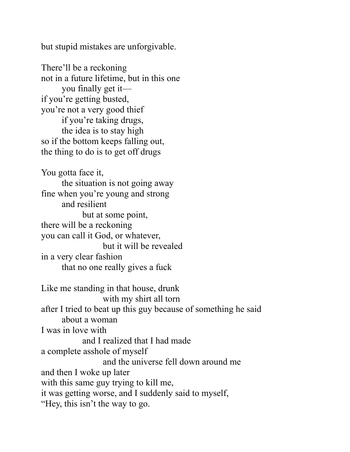but stupid mistakes are unforgivable.

There'll be a reckoning not in a future lifetime, but in this one you finally get it if you're getting busted, you're not a very good thief if you're taking drugs, the idea is to stay high so if the bottom keeps falling out, the thing to do is to get off drugs

You gotta face it, the situation is not going away fine when you're young and strong and resilient but at some point, there will be a reckoning you can call it God, or whatever, but it will be revealed in a very clear fashion that no one really gives a fuck

Like me standing in that house, drunk with my shirt all torn after I tried to beat up this guy because of something he said about a woman I was in love with and I realized that I had made a complete asshole of myself and the universe fell down around me and then I woke up later with this same guy trying to kill me, it was getting worse, and I suddenly said to myself, "Hey, this isn't the way to go.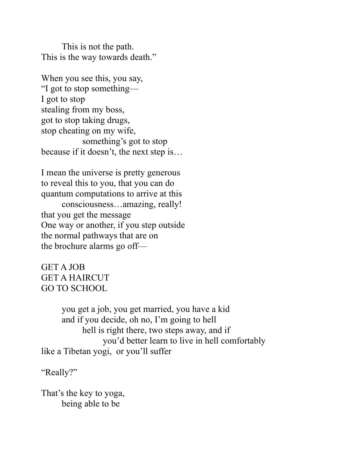This is not the path. This is the way towards death."

When you see this, you say, "I got to stop something— I got to stop stealing from my boss, got to stop taking drugs, stop cheating on my wife, something's got to stop because if it doesn't, the next step is…

I mean the universe is pretty generous to reveal this to you, that you can do quantum computations to arrive at this

consciousness…amazing, really! that you get the message One way or another, if you step outside the normal pathways that are on the brochure alarms go off—

GET A JOB GET A HAIRCUT GO TO SCHOOL

you get a job, you get married, you have a kid and if you decide, oh no, I'm going to hell hell is right there, two steps away, and if you'd better learn to live in hell comfortably like a Tibetan yogi, or you'll suffer

"Really?"

That's the key to yoga, being able to be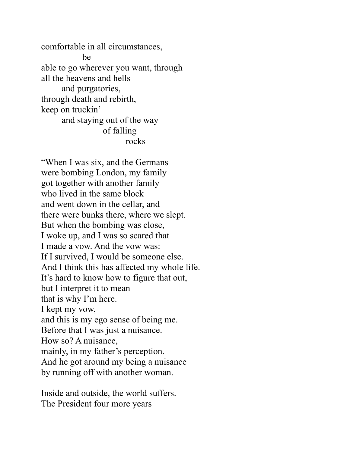comfortable in all circumstances, be able to go wherever you want, through all the heavens and hells and purgatories, through death and rebirth, keep on truckin' and staying out of the way of falling rocks

"When I was six, and the Germans were bombing London, my family got together with another family who lived in the same block and went down in the cellar, and there were bunks there, where we slept. But when the bombing was close, I woke up, and I was so scared that I made a vow. And the vow was: If I survived, I would be someone else. And I think this has affected my whole life. It's hard to know how to figure that out, but I interpret it to mean that is why I'm here. I kept my vow, and this is my ego sense of being me. Before that I was just a nuisance. How so? A nuisance, mainly, in my father's perception. And he got around my being a nuisance by running off with another woman.

Inside and outside, the world suffers. The President four more years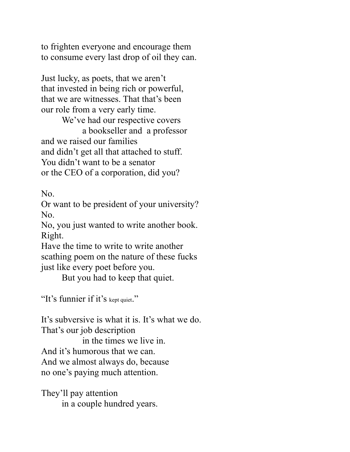to frighten everyone and encourage them to consume every last drop of oil they can.

Just lucky, as poets, that we aren't that invested in being rich or powerful, that we are witnesses. That that's been our role from a very early time.

We've had our respective covers a bookseller and a professor and we raised our families and didn't get all that attached to stuff. You didn't want to be a senator or the CEO of a corporation, did you?

No.

Or want to be president of your university? No.

No, you just wanted to write another book. Right.

Have the time to write to write another scathing poem on the nature of these fucks just like every poet before you.

But you had to keep that quiet.

"It's funnier if it's kept quiet."

It's subversive is what it is. It's what we do. That's our job description

in the times we live in. And it's humorous that we can. And we almost always do, because no one's paying much attention.

They'll pay attention in a couple hundred years.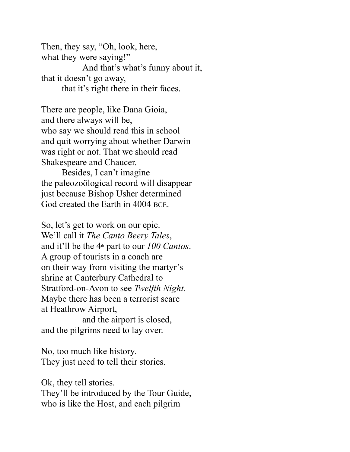Then, they say, "Oh, look, here, what they were saying!" And that's what's funny about it, that it doesn't go away, that it's right there in their faces.

There are people, like Dana Gioia, and there always will be, who say we should read this in school and quit worrying about whether Darwin was right or not. That we should read Shakespeare and Chaucer.

Besides, I can't imagine the paleozoölogical record will disappear just because Bishop Usher determined God created the Earth in 4004 BCE.

So, let's get to work on our epic. We'll call it *The Canto Beery Tales*, and it'll be the 4th part to our *100 Cantos*. A group of tourists in a coach are on their way from visiting the martyr's shrine at Canterbury Cathedral to Stratford-on-Avon to see *Twelfth Night*. Maybe there has been a terrorist scare at Heathrow Airport,

and the airport is closed, and the pilgrims need to lay over.

No, too much like history. They just need to tell their stories.

Ok, they tell stories. They'll be introduced by the Tour Guide, who is like the Host, and each pilgrim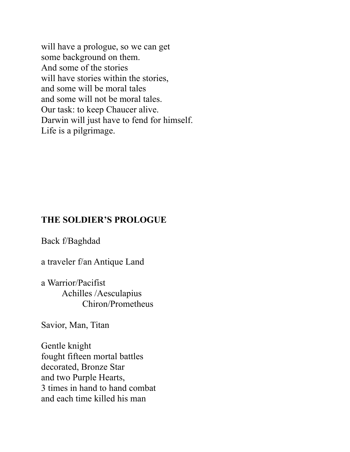will have a prologue, so we can get some background on them. And some of the stories will have stories within the stories, and some will be moral tales and some will not be moral tales. Our task: to keep Chaucer alive. Darwin will just have to fend for himself. Life is a pilgrimage.

#### **THE SOLDIER'S PROLOGUE**

Back f/Baghdad

a traveler f/an Antique Land

a Warrior/Pacifist Achilles /Aesculapius Chiron/Prometheus

Savior, Man, Titan

Gentle knight fought fifteen mortal battles decorated, Bronze Star and two Purple Hearts, 3 times in hand to hand combat and each time killed his man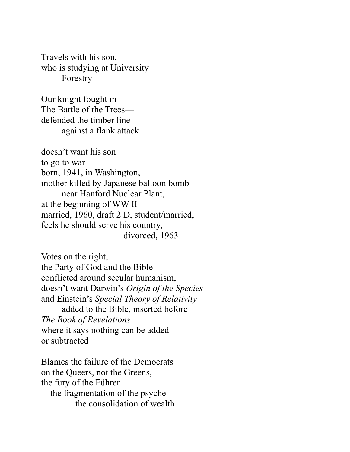Travels with his son, who is studying at University Forestry

Our knight fought in The Battle of the Trees defended the timber line against a flank attack

doesn't want his son to go to war born, 1941, in Washington, mother killed by Japanese balloon bomb near Hanford Nuclear Plant, at the beginning of WW II married, 1960, draft 2 D, student/married, feels he should serve his country, divorced, 1963

Votes on the right, the Party of God and the Bible conflicted around secular humanism, doesn't want Darwin's *Origin of the Species*  and Einstein's *Special Theory of Relativity* added to the Bible, inserted before *The Book of Revelations*  where it says nothing can be added or subtracted

Blames the failure of the Democrats on the Queers, not the Greens, the fury of the Führer the fragmentation of the psyche the consolidation of wealth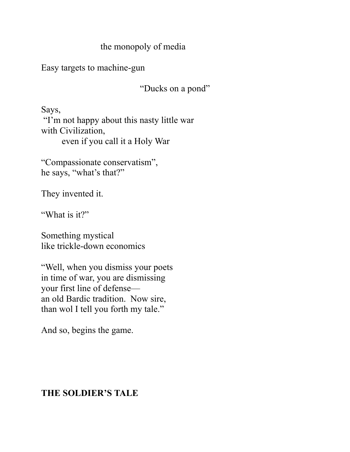# the monopoly of media

Easy targets to machine-gun

"Ducks on a pond"

Says, "I'm not happy about this nasty little war with Civilization, even if you call it a Holy War

"Compassionate conservatism", he says, "what's that?"

They invented it.

"What is it?"

Something mystical like trickle-down economics

"Well, when you dismiss your poets in time of war, you are dismissing your first line of defense an old Bardic tradition. Now sire, than wol I tell you forth my tale."

And so, begins the game.

# **THE SOLDIER'S TALE**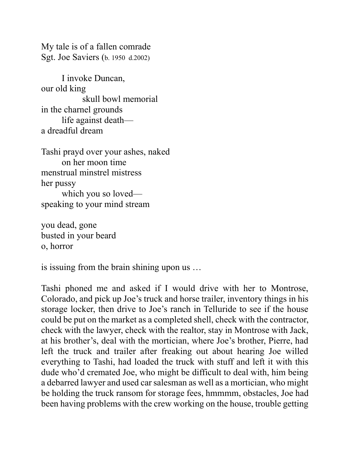My tale is of a fallen comrade Sgt. Joe Saviers (b. 1950 d.2002)

I invoke Duncan, our old king skull bowl memorial in the charnel grounds life against death a dreadful dream

Tashi prayd over your ashes, naked on her moon time menstrual minstrel mistress her pussy which you so loved speaking to your mind stream

you dead, gone busted in your beard o, horror

is issuing from the brain shining upon us …

Tashi phoned me and asked if I would drive with her to Montrose, Colorado, and pick up Joe's truck and horse trailer, inventory things in his storage locker, then drive to Joe's ranch in Telluride to see if the house could be put on the market as a completed shell, check with the contractor, check with the lawyer, check with the realtor, stay in Montrose with Jack, at his brother's, deal with the mortician, where Joe's brother, Pierre, had left the truck and trailer after freaking out about hearing Joe willed everything to Tashi, had loaded the truck with stuff and left it with this dude who'd cremated Joe, who might be difficult to deal with, him being a debarred lawyer and used car salesman as well as a mortician, who might be holding the truck ransom for storage fees, hmmmm, obstacles, Joe had been having problems with the crew working on the house, trouble getting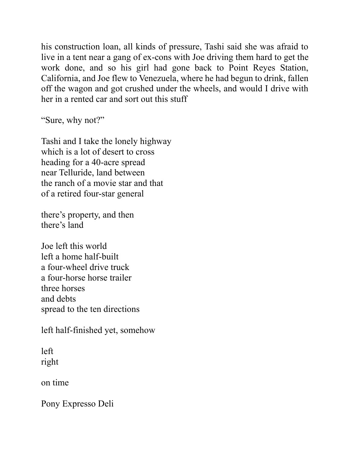his construction loan, all kinds of pressure, Tashi said she was afraid to live in a tent near a gang of ex-cons with Joe driving them hard to get the work done, and so his girl had gone back to Point Reyes Station, California, and Joe flew to Venezuela, where he had begun to drink, fallen off the wagon and got crushed under the wheels, and would I drive with her in a rented car and sort out this stuff

"Sure, why not?"

Tashi and I take the lonely highway which is a lot of desert to cross heading for a 40-acre spread near Telluride, land between the ranch of a movie star and that of a retired four-star general

there's property, and then there's land

Joe left this world left a home half-built a four-wheel drive truck a four-horse horse trailer three horses and debts spread to the ten directions

left half-finished yet, somehow

left right

on time

Pony Expresso Deli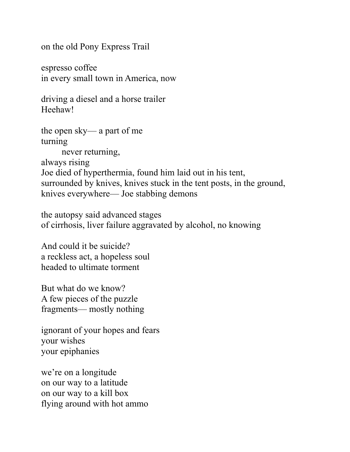on the old Pony Express Trail

espresso coffee in every small town in America, now

driving a diesel and a horse trailer Heehaw!

the open sky— a part of me turning never returning, always rising Joe died of hyperthermia, found him laid out in his tent, surrounded by knives, knives stuck in the tent posts, in the ground, knives everywhere— Joe stabbing demons

the autopsy said advanced stages of cirrhosis, liver failure aggravated by alcohol, no knowing

And could it be suicide? a reckless act, a hopeless soul headed to ultimate torment

But what do we know? A few pieces of the puzzle fragments— mostly nothing

ignorant of your hopes and fears your wishes your epiphanies

we're on a longitude on our way to a latitude on our way to a kill box flying around with hot ammo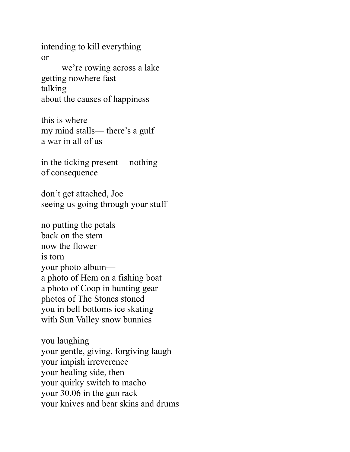intending to kill everything or

we're rowing across a lake getting nowhere fast talking about the causes of happiness

this is where my mind stalls— there's a gulf a war in all of us

in the ticking present— nothing of consequence

don't get attached, Joe seeing us going through your stuff

no putting the petals back on the stem now the flower is torn your photo album a photo of Hem on a fishing boat a photo of Coop in hunting gear photos of The Stones stoned you in bell bottoms ice skating with Sun Valley snow bunnies

you laughing your gentle, giving, forgiving laugh your impish irreverence your healing side, then your quirky switch to macho your 30.06 in the gun rack your knives and bear skins and drums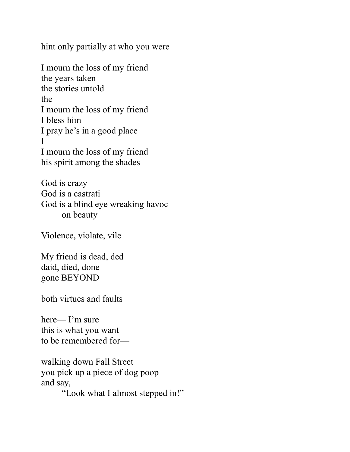hint only partially at who you were

I mourn the loss of my friend the years taken the stories untold the I mourn the loss of my friend I bless him I pray he's in a good place I I mourn the loss of my friend his spirit among the shades

God is crazy God is a castrati God is a blind eye wreaking havoc on beauty

Violence, violate, vile

My friend is dead, ded daid, died, done gone BEYOND

both virtues and faults

here— I'm sure this is what you want to be remembered for—

walking down Fall Street you pick up a piece of dog poop and say, "Look what I almost stepped in!"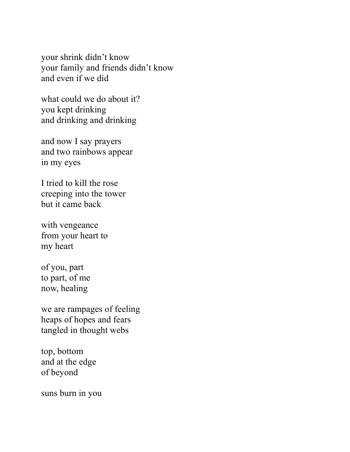your shrink didn't know your family and friends didn't know and even if we did

what could we do about it? you kept drinking and drinking and drinking

and now I say prayers and two rainbows appear in my eyes

I tried to kill the rose creeping into the tower but it came back

with vengeance from your heart to my heart

of you, part to part, of me now, healing

we are rampages of feeling heaps of hopes and fears tangled in thought webs

top, bottom and at the edge of beyond

suns burn in you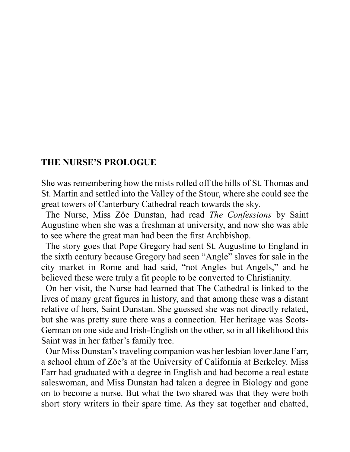#### **THE NURSE'S PROLOGUE**

She was remembering how the mists rolled off the hills of St. Thomas and St. Martin and settled into the Valley of the Stour, where she could see the great towers of Canterbury Cathedral reach towards the sky.

 The Nurse, Miss Zöe Dunstan, had read *The Confessions* by Saint Augustine when she was a freshman at university, and now she was able to see where the great man had been the first Archbishop.

 The story goes that Pope Gregory had sent St. Augustine to England in the sixth century because Gregory had seen "Angle" slaves for sale in the city market in Rome and had said, "not Angles but Angels," and he believed these were truly a fit people to be converted to Christianity.

 On her visit, the Nurse had learned that The Cathedral is linked to the lives of many great figures in history, and that among these was a distant relative of hers, Saint Dunstan. She guessed she was not directly related, but she was pretty sure there was a connection. Her heritage was Scots-German on one side and Irish-English on the other, so in all likelihood this Saint was in her father's family tree.

 Our Miss Dunstan's traveling companion was her lesbian lover Jane Farr, a school chum of Zöe's at the University of California at Berkeley. Miss Farr had graduated with a degree in English and had become a real estate saleswoman, and Miss Dunstan had taken a degree in Biology and gone on to become a nurse. But what the two shared was that they were both short story writers in their spare time. As they sat together and chatted,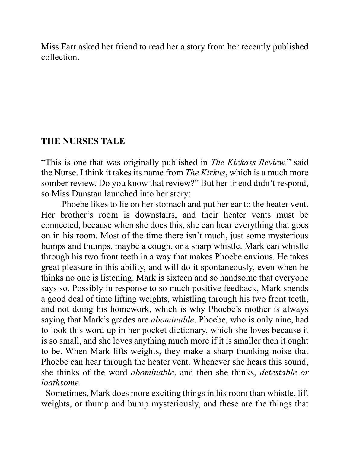Miss Farr asked her friend to read her a story from her recently published collection.

#### **THE NURSES TALE**

"This is one that was originally published in *The Kickass Review,*" said the Nurse. I think it takes its name from *The Kirkus*, which is a much more somber review. Do you know that review?" But her friend didn't respond, so Miss Dunstan launched into her story:

Phoebe likes to lie on her stomach and put her ear to the heater vent. Her brother's room is downstairs, and their heater vents must be connected, because when she does this, she can hear everything that goes on in his room. Most of the time there isn't much, just some mysterious bumps and thumps, maybe a cough, or a sharp whistle. Mark can whistle through his two front teeth in a way that makes Phoebe envious. He takes great pleasure in this ability, and will do it spontaneously, even when he thinks no one is listening. Mark is sixteen and so handsome that everyone says so. Possibly in response to so much positive feedback, Mark spends a good deal of time lifting weights, whistling through his two front teeth, and not doing his homework, which is why Phoebe's mother is always saying that Mark's grades are *abominable*. Phoebe, who is only nine, had to look this word up in her pocket dictionary, which she loves because it is so small, and she loves anything much more if it is smaller then it ought to be. When Mark lifts weights, they make a sharp thunking noise that Phoebe can hear through the heater vent. Whenever she hears this sound, she thinks of the word *abominable*, and then she thinks, *detestable or loathsome*.

 Sometimes, Mark does more exciting things in his room than whistle, lift weights, or thump and bump mysteriously, and these are the things that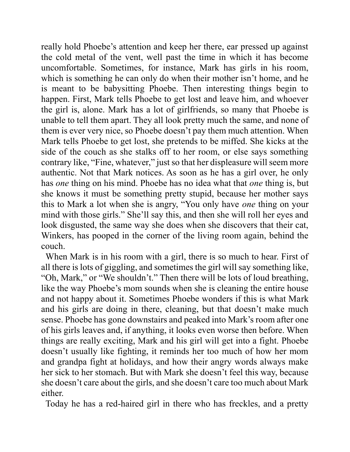really hold Phoebe's attention and keep her there, ear pressed up against the cold metal of the vent, well past the time in which it has become uncomfortable. Sometimes, for instance, Mark has girls in his room, which is something he can only do when their mother isn't home, and he is meant to be babysitting Phoebe. Then interesting things begin to happen. First, Mark tells Phoebe to get lost and leave him, and whoever the girl is, alone. Mark has a lot of girlfriends, so many that Phoebe is unable to tell them apart. They all look pretty much the same, and none of them is ever very nice, so Phoebe doesn't pay them much attention. When Mark tells Phoebe to get lost, she pretends to be miffed. She kicks at the side of the couch as she stalks off to her room, or else says something contrary like, "Fine, whatever," just so that her displeasure will seem more authentic. Not that Mark notices. As soon as he has a girl over, he only has *one* thing on his mind. Phoebe has no idea what that *one* thing is, but she knows it must be something pretty stupid, because her mother says this to Mark a lot when she is angry, "You only have *one* thing on your mind with those girls." She'll say this, and then she will roll her eyes and look disgusted, the same way she does when she discovers that their cat, Winkers, has pooped in the corner of the living room again, behind the couch.

 When Mark is in his room with a girl, there is so much to hear. First of all there is lots of giggling, and sometimes the girl will say something like, "Oh, Mark," or "We shouldn't." Then there will be lots of loud breathing, like the way Phoebe's mom sounds when she is cleaning the entire house and not happy about it. Sometimes Phoebe wonders if this is what Mark and his girls are doing in there, cleaning, but that doesn't make much sense. Phoebe has gone downstairs and peaked into Mark's room after one of his girls leaves and, if anything, it looks even worse then before. When things are really exciting, Mark and his girl will get into a fight. Phoebe doesn't usually like fighting, it reminds her too much of how her mom and grandpa fight at holidays, and how their angry words always make her sick to her stomach. But with Mark she doesn't feel this way, because she doesn't care about the girls, and she doesn't care too much about Mark either.

Today he has a red-haired girl in there who has freckles, and a pretty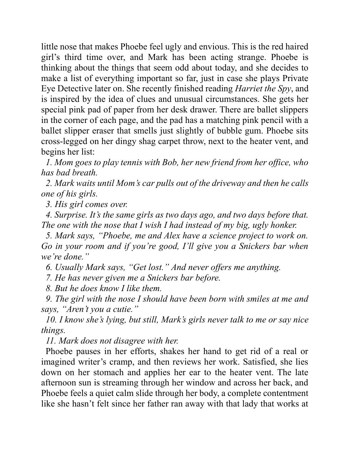little nose that makes Phoebe feel ugly and envious. This is the red haired girl's third time over, and Mark has been acting strange. Phoebe is thinking about the things that seem odd about today, and she decides to make a list of everything important so far, just in case she plays Private Eye Detective later on. She recently finished reading *Harriet the Spy*, and is inspired by the idea of clues and unusual circumstances. She gets her special pink pad of paper from her desk drawer. There are ballet slippers in the corner of each page, and the pad has a matching pink pencil with a ballet slipper eraser that smells just slightly of bubble gum. Phoebe sits cross-legged on her dingy shag carpet throw, next to the heater vent, and begins her list:

 *1. Mom goes to play tennis with Bob, her new friend from her office, who has bad breath.*

 *2. Mark waits until Mom's car pulls out of the driveway and then he calls one of his girls.*

 *3. His girl comes over.*

 *4. Surprise. It's the same girls as two days ago, and two days before that. The one with the nose that I wish I had instead of my big, ugly honker.* 

 *5. Mark says, "Phoebe, me and Alex have a science project to work on. Go in your room and if you're good, I'll give you a Snickers bar when we're done."*

 *6. Usually Mark says, "Get lost." And never offers me anything.*

 *7. He has never given me a Snickers bar before.*

 *8. But he does know I like them.*

 *9. The girl with the nose I should have been born with smiles at me and says, "Aren't you a cutie."*

 *10. I know she's lying, but still, Mark's girls never talk to me or say nice things.*

 *11. Mark does not disagree with her.*

 Phoebe pauses in her efforts, shakes her hand to get rid of a real or imagined writer's cramp, and then reviews her work. Satisfied, she lies down on her stomach and applies her ear to the heater vent. The late afternoon sun is streaming through her window and across her back, and Phoebe feels a quiet calm slide through her body, a complete contentment like she hasn't felt since her father ran away with that lady that works at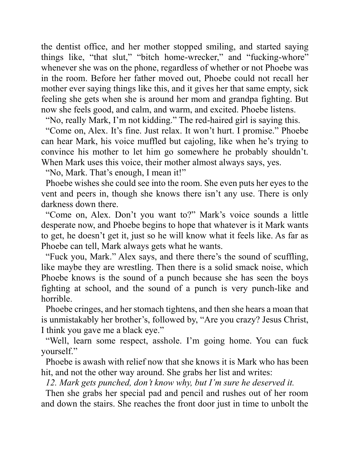the dentist office, and her mother stopped smiling, and started saying things like, "that slut," "bitch home-wrecker," and "fucking-whore" whenever she was on the phone, regardless of whether or not Phoebe was in the room. Before her father moved out, Phoebe could not recall her mother ever saying things like this, and it gives her that same empty, sick feeling she gets when she is around her mom and grandpa fighting. But now she feels good, and calm, and warm, and excited. Phoebe listens.

"No, really Mark, I'm not kidding." The red-haired girl is saying this.

 "Come on, Alex. It's fine. Just relax. It won't hurt. I promise." Phoebe can hear Mark, his voice muffled but cajoling, like when he's trying to convince his mother to let him go somewhere he probably shouldn't. When Mark uses this voice, their mother almost always says, yes.

"No, Mark. That's enough, I mean it!"

 Phoebe wishes she could see into the room. She even puts her eyes to the vent and peers in, though she knows there isn't any use. There is only darkness down there.

 "Come on, Alex. Don't you want to?" Mark's voice sounds a little desperate now, and Phoebe begins to hope that whatever is it Mark wants to get, he doesn't get it, just so he will know what it feels like. As far as Phoebe can tell, Mark always gets what he wants.

 "Fuck you, Mark." Alex says, and there there's the sound of scuffling, like maybe they are wrestling. Then there is a solid smack noise, which Phoebe knows is the sound of a punch because she has seen the boys fighting at school, and the sound of a punch is very punch-like and horrible.

 Phoebe cringes, and her stomach tightens, and then she hears a moan that is unmistakably her brother's, followed by, "Are you crazy? Jesus Christ, I think you gave me a black eye."

 "Well, learn some respect, asshole. I'm going home. You can fuck yourself."

 Phoebe is awash with relief now that she knows it is Mark who has been hit, and not the other way around. She grabs her list and writes:

 *12. Mark gets punched, don't know why, but I'm sure he deserved it.* 

Then she grabs her special pad and pencil and rushes out of her room and down the stairs. She reaches the front door just in time to unbolt the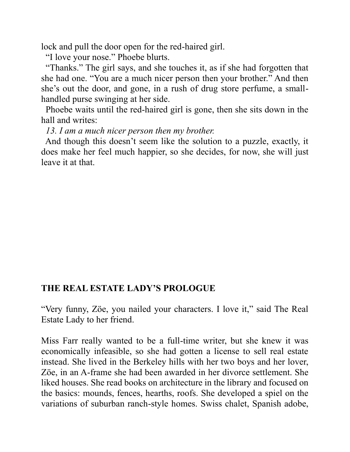lock and pull the door open for the red-haired girl.

"I love your nose." Phoebe blurts.

 "Thanks." The girl says, and she touches it, as if she had forgotten that she had one. "You are a much nicer person then your brother." And then she's out the door, and gone, in a rush of drug store perfume, a smallhandled purse swinging at her side.

 Phoebe waits until the red-haired girl is gone, then she sits down in the hall and writes:

 *13. I am a much nicer person then my brother.*

 And though this doesn't seem like the solution to a puzzle, exactly, it does make her feel much happier, so she decides, for now, she will just leave it at that.

#### **THE REAL ESTATE LADY'S PROLOGUE**

"Very funny, Zöe, you nailed your characters. I love it," said The Real Estate Lady to her friend.

Miss Farr really wanted to be a full-time writer, but she knew it was economically infeasible, so she had gotten a license to sell real estate instead. She lived in the Berkeley hills with her two boys and her lover, Zöe, in an A-frame she had been awarded in her divorce settlement. She liked houses. She read books on architecture in the library and focused on the basics: mounds, fences, hearths, roofs. She developed a spiel on the variations of suburban ranch-style homes. Swiss chalet, Spanish adobe,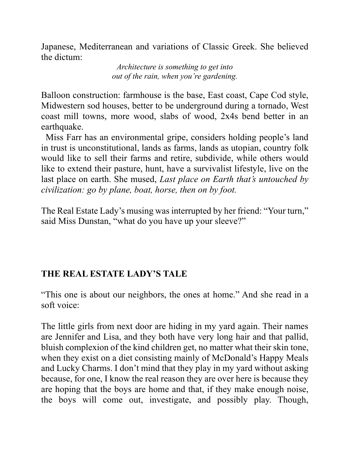Japanese, Mediterranean and variations of Classic Greek. She believed the dictum:

> *Architecture is something to get into out of the rain, when you're gardening.*

Balloon construction: farmhouse is the base, East coast, Cape Cod style, Midwestern sod houses, better to be underground during a tornado, West coast mill towns, more wood, slabs of wood, 2x4s bend better in an earthquake.

 Miss Farr has an environmental gripe, considers holding people's land in trust is unconstitutional, lands as farms, lands as utopian, country folk would like to sell their farms and retire, subdivide, while others would like to extend their pasture, hunt, have a survivalist lifestyle, live on the last place on earth. She mused, *Last place on Earth that's untouched by civilization: go by plane, boat, horse, then on by foot.*

The Real Estate Lady's musing was interrupted by her friend: "Your turn," said Miss Dunstan, "what do you have up your sleeve?"

# **THE REAL ESTATE LADY'S TALE**

"This one is about our neighbors, the ones at home." And she read in a soft voice:

The little girls from next door are hiding in my yard again. Their names are Jennifer and Lisa, and they both have very long hair and that pallid, bluish complexion of the kind children get, no matter what their skin tone, when they exist on a diet consisting mainly of McDonald's Happy Meals and Lucky Charms. I don't mind that they play in my yard without asking because, for one, I know the real reason they are over here is because they are hoping that the boys are home and that, if they make enough noise, the boys will come out, investigate, and possibly play. Though,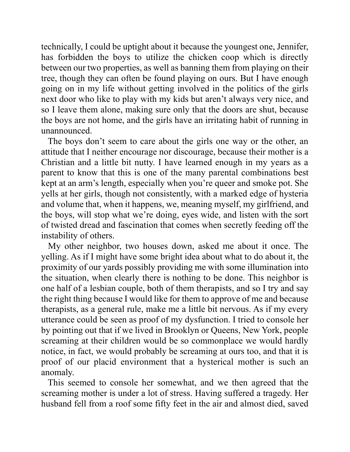technically, I could be uptight about it because the youngest one, Jennifer, has forbidden the boys to utilize the chicken coop which is directly between our two properties, as well as banning them from playing on their tree, though they can often be found playing on ours. But I have enough going on in my life without getting involved in the politics of the girls next door who like to play with my kids but aren't always very nice, and so I leave them alone, making sure only that the doors are shut, because the boys are not home, and the girls have an irritating habit of running in unannounced.

 The boys don't seem to care about the girls one way or the other, an attitude that I neither encourage nor discourage, because their mother is a Christian and a little bit nutty. I have learned enough in my years as a parent to know that this is one of the many parental combinations best kept at an arm's length, especially when you're queer and smoke pot. She yells at her girls, though not consistently, with a marked edge of hysteria and volume that, when it happens, we, meaning myself, my girlfriend, and the boys, will stop what we're doing, eyes wide, and listen with the sort of twisted dread and fascination that comes when secretly feeding off the instability of others.

 My other neighbor, two houses down, asked me about it once. The yelling. As if I might have some bright idea about what to do about it, the proximity of our yards possibly providing me with some illumination into the situation, when clearly there is nothing to be done. This neighbor is one half of a lesbian couple, both of them therapists, and so I try and say the right thing because I would like for them to approve of me and because therapists, as a general rule, make me a little bit nervous. As if my every utterance could be seen as proof of my dysfunction. I tried to console her by pointing out that if we lived in Brooklyn or Queens, New York, people screaming at their children would be so commonplace we would hardly notice, in fact, we would probably be screaming at ours too, and that it is proof of our placid environment that a hysterical mother is such an anomaly.

 This seemed to console her somewhat, and we then agreed that the screaming mother is under a lot of stress. Having suffered a tragedy. Her husband fell from a roof some fifty feet in the air and almost died, saved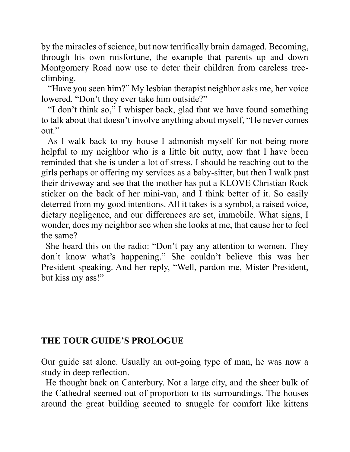by the miracles of science, but now terrifically brain damaged. Becoming, through his own misfortune, the example that parents up and down Montgomery Road now use to deter their children from careless treeclimbing.

 "Have you seen him?" My lesbian therapist neighbor asks me, her voice lowered. "Don't they ever take him outside?"

 "I don't think so," I whisper back, glad that we have found something to talk about that doesn't involve anything about myself, "He never comes out."

 As I walk back to my house I admonish myself for not being more helpful to my neighbor who is a little bit nutty, now that I have been reminded that she is under a lot of stress. I should be reaching out to the girls perhaps or offering my services as a baby-sitter, but then I walk past their driveway and see that the mother has put a KLOVE Christian Rock sticker on the back of her mini-van, and I think better of it. So easily deterred from my good intentions. All it takes is a symbol, a raised voice, dietary negligence, and our differences are set, immobile. What signs, I wonder, does my neighbor see when she looks at me, that cause her to feel the same?

 She heard this on the radio: "Don't pay any attention to women. They don't know what's happening." She couldn't believe this was her President speaking. And her reply, "Well, pardon me, Mister President, but kiss my ass!"

# **THE TOUR GUIDE'S PROLOGUE**

Our guide sat alone. Usually an out-going type of man, he was now a study in deep reflection.

 He thought back on Canterbury. Not a large city, and the sheer bulk of the Cathedral seemed out of proportion to its surroundings. The houses around the great building seemed to snuggle for comfort like kittens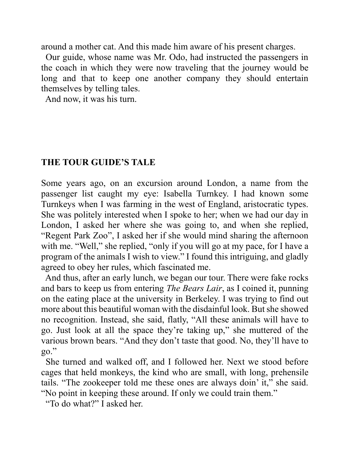around a mother cat. And this made him aware of his present charges.

Our guide, whose name was Mr. Odo, had instructed the passengers in the coach in which they were now traveling that the journey would be long and that to keep one another company they should entertain themselves by telling tales.

And now, it was his turn.

# **THE TOUR GUIDE'S TALE**

Some years ago, on an excursion around London, a name from the passenger list caught my eye: Isabella Turnkey. I had known some Turnkeys when I was farming in the west of England, aristocratic types. She was politely interested when I spoke to her; when we had our day in London, I asked her where she was going to, and when she replied, "Regent Park Zoo", I asked her if she would mind sharing the afternoon with me. "Well," she replied, "only if you will go at my pace, for I have a program of the animals I wish to view." I found this intriguing, and gladly agreed to obey her rules, which fascinated me.

 And thus, after an early lunch, we began our tour. There were fake rocks and bars to keep us from entering *The Bears Lair*, as I coined it, punning on the eating place at the university in Berkeley. I was trying to find out more about this beautiful woman with the disdainful look. But she showed no recognition. Instead, she said, flatly, "All these animals will have to go. Just look at all the space they're taking up," she muttered of the various brown bears. "And they don't taste that good. No, they'll have to go."

 She turned and walked off, and I followed her. Next we stood before cages that held monkeys, the kind who are small, with long, prehensile tails. "The zookeeper told me these ones are always doin' it," she said. "No point in keeping these around. If only we could train them."

"To do what?" I asked her.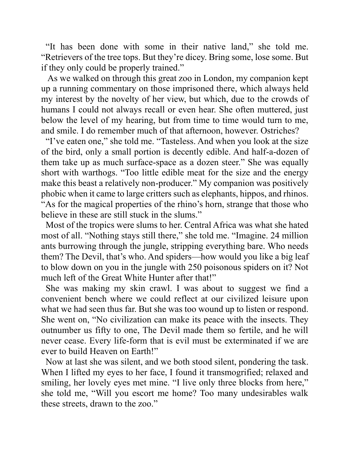"It has been done with some in their native land," she told me. "Retrievers of the tree tops. But they're dicey. Bring some, lose some. But if they only could be properly trained."

 As we walked on through this great zoo in London, my companion kept up a running commentary on those imprisoned there, which always held my interest by the novelty of her view, but which, due to the crowds of humans I could not always recall or even hear. She often muttered, just below the level of my hearing, but from time to time would turn to me, and smile. I do remember much of that afternoon, however. Ostriches?

 "I've eaten one," she told me. "Tasteless. And when you look at the size of the bird, only a small portion is decently edible. And half-a-dozen of them take up as much surface-space as a dozen steer." She was equally short with warthogs. "Too little edible meat for the size and the energy make this beast a relatively non-producer." My companion was positively phobic when it came to large critters such as elephants, hippos, and rhinos. "As for the magical properties of the rhino's horn, strange that those who believe in these are still stuck in the slums."

 Most of the tropics were slums to her. Central Africa was what she hated most of all. "Nothing stays still there," she told me. "Imagine. 24 million ants burrowing through the jungle, stripping everything bare. Who needs them? The Devil, that's who. And spiders—how would you like a big leaf to blow down on you in the jungle with 250 poisonous spiders on it? Not much left of the Great White Hunter after that!"

 She was making my skin crawl. I was about to suggest we find a convenient bench where we could reflect at our civilized leisure upon what we had seen thus far. But she was too wound up to listen or respond. She went on, "No civilization can make its peace with the insects. They outnumber us fifty to one, The Devil made them so fertile, and he will never cease. Every life-form that is evil must be exterminated if we are ever to build Heaven on Earth!"

 Now at last she was silent, and we both stood silent, pondering the task. When I lifted my eyes to her face, I found it transmogrified; relaxed and smiling, her lovely eyes met mine. "I live only three blocks from here," she told me, "Will you escort me home? Too many undesirables walk these streets, drawn to the zoo."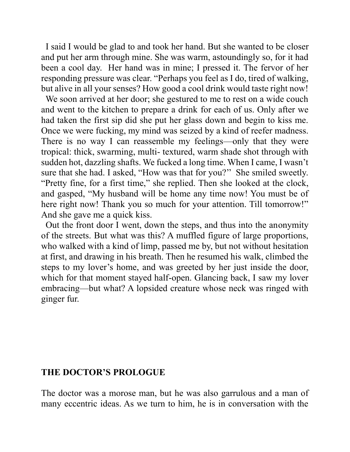I said I would be glad to and took her hand. But she wanted to be closer and put her arm through mine. She was warm, astoundingly so, for it had been a cool day. Her hand was in mine; I pressed it. The fervor of her responding pressure was clear. "Perhaps you feel as I do, tired of walking, but alive in all your senses? How good a cool drink would taste right now!

 We soon arrived at her door; she gestured to me to rest on a wide couch and went to the kitchen to prepare a drink for each of us. Only after we had taken the first sip did she put her glass down and begin to kiss me. Once we were fucking, my mind was seized by a kind of reefer madness. There is no way I can reassemble my feelings—only that they were tropical: thick, swarming, multi- textured, warm shade shot through with sudden hot, dazzling shafts. We fucked a long time. When I came, I wasn't sure that she had. I asked, "How was that for you?'' She smiled sweetly. "Pretty fine, for a first time," she replied. Then she looked at the clock, and gasped, "My husband will be home any time now! You must be of here right now! Thank you so much for your attention. Till tomorrow!" And she gave me a quick kiss.

 Out the front door I went, down the steps, and thus into the anonymity of the streets. But what was this? A muffled figure of large proportions, who walked with a kind of limp, passed me by, but not without hesitation at first, and drawing in his breath. Then he resumed his walk, climbed the steps to my lover's home, and was greeted by her just inside the door, which for that moment stayed half-open. Glancing back, I saw my lover embracing—but what? A lopsided creature whose neck was ringed with ginger fur.

#### **THE DOCTOR'S PROLOGUE**

The doctor was a morose man, but he was also garrulous and a man of many eccentric ideas. As we turn to him, he is in conversation with the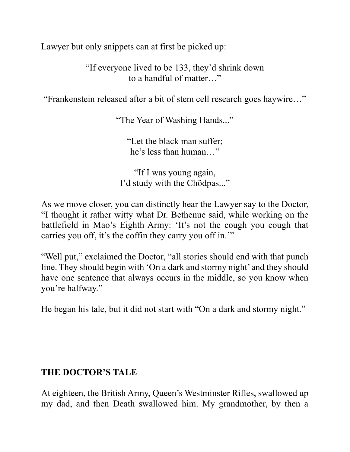Lawyer but only snippets can at first be picked up:

"If everyone lived to be 133, they'd shrink down to a handful of matter…"

"Frankenstein released after a bit of stem cell research goes haywire…"

"The Year of Washing Hands..."

"Let the black man suffer; he's less than human…"

"If I was young again, I'd study with the Chödpas..."

As we move closer, you can distinctly hear the Lawyer say to the Doctor, "I thought it rather witty what Dr. Bethenue said, while working on the battlefield in Mao's Eighth Army: 'It's not the cough you cough that carries you off, it's the coffin they carry you off in.'"

"Well put," exclaimed the Doctor, "all stories should end with that punch line. They should begin with 'On a dark and stormy night' and they should have one sentence that always occurs in the middle, so you know when you're halfway."

He began his tale, but it did not start with "On a dark and stormy night."

# **THE DOCTOR'S TALE**

At eighteen, the British Army, Queen's Westminster Rifles, swallowed up my dad, and then Death swallowed him. My grandmother, by then a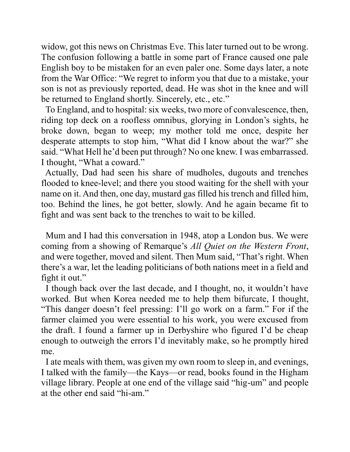widow, got this news on Christmas Eve. This later turned out to be wrong. The confusion following a battle in some part of France caused one pale English boy to be mistaken for an even paler one. Some days later, a note from the War Office: "We regret to inform you that due to a mistake, your son is not as previously reported, dead. He was shot in the knee and will be returned to England shortly. Sincerely, etc., etc."

 To England, and to hospital: six weeks, two more of convalescence, then, riding top deck on a roofless omnibus, glorying in London's sights, he broke down, began to weep; my mother told me once, despite her desperate attempts to stop him, "What did I know about the war?" she said. "What Hell he'd been put through? No one knew. I was embarrassed. I thought, "What a coward."

 Actually, Dad had seen his share of mudholes, dugouts and trenches flooded to knee-level; and there you stood waiting for the shell with your name on it. And then, one day, mustard gas filled his trench and filled him, too. Behind the lines, he got better, slowly. And he again became fit to fight and was sent back to the trenches to wait to be killed.

 Mum and I had this conversation in 1948, atop a London bus. We were coming from a showing of Remarque's *All Quiet on the Western Front*, and were together, moved and silent. Then Mum said, "That's right. When there's a war, let the leading politicians of both nations meet in a field and fight it out."

 I though back over the last decade, and I thought, no, it wouldn't have worked. But when Korea needed me to help them bifurcate, I thought, "This danger doesn't feel pressing: I'll go work on a farm." For if the farmer claimed you were essential to his work, you were excused from the draft. I found a farmer up in Derbyshire who figured I'd be cheap enough to outweigh the errors I'd inevitably make, so he promptly hired me.

 I ate meals with them, was given my own room to sleep in, and evenings, I talked with the family—the Kays—or read, books found in the Higham village library. People at one end of the village said "hig-um" and people at the other end said "hi-am."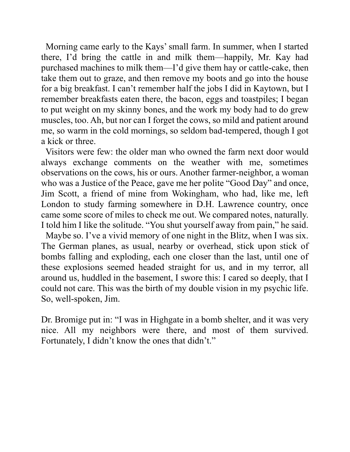Morning came early to the Kays' small farm. In summer, when I started there, I'd bring the cattle in and milk them—happily, Mr. Kay had purchased machines to milk them—I'd give them hay or cattle-cake, then take them out to graze, and then remove my boots and go into the house for a big breakfast. I can't remember half the jobs I did in Kaytown, but I remember breakfasts eaten there, the bacon, eggs and toastpiles; I began to put weight on my skinny bones, and the work my body had to do grew muscles, too. Ah, but nor can I forget the cows, so mild and patient around me, so warm in the cold mornings, so seldom bad-tempered, though I got a kick or three.

 Visitors were few: the older man who owned the farm next door would always exchange comments on the weather with me, sometimes observations on the cows, his or ours. Another farmer-neighbor, a woman who was a Justice of the Peace, gave me her polite "Good Day" and once, Jim Scott, a friend of mine from Wokingham, who had, like me, left London to study farming somewhere in D.H. Lawrence country, once came some score of miles to check me out. We compared notes, naturally. I told him I like the solitude. "You shut yourself away from pain," he said.

 Maybe so. I've a vivid memory of one night in the Blitz, when I was six. The German planes, as usual, nearby or overhead, stick upon stick of bombs falling and exploding, each one closer than the last, until one of these explosions seemed headed straight for us, and in my terror, all around us, huddled in the basement, I swore this: I cared so deeply, that I could not care. This was the birth of my double vision in my psychic life. So, well-spoken, Jim.

Dr. Bromige put in: "I was in Highgate in a bomb shelter, and it was very nice. All my neighbors were there, and most of them survived. Fortunately, I didn't know the ones that didn't."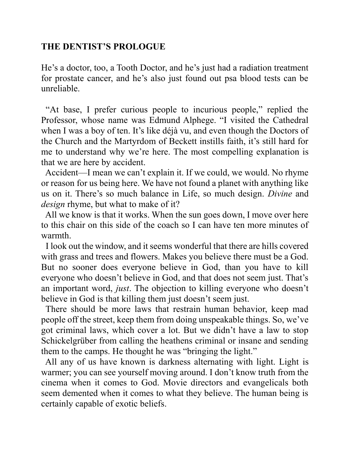# **THE DENTIST'S PROLOGUE**

He's a doctor, too, a Tooth Doctor, and he's just had a radiation treatment for prostate cancer, and he's also just found out psa blood tests can be unreliable.

 "At base, I prefer curious people to incurious people," replied the Professor, whose name was Edmund Alphege. "I visited the Cathedral when I was a boy of ten. It's like déjà vu, and even though the Doctors of the Church and the Martyrdom of Beckett instills faith, it's still hard for me to understand why we're here. The most compelling explanation is that we are here by accident.

 Accident—I mean we can't explain it. If we could, we would. No rhyme or reason for us being here. We have not found a planet with anything like us on it. There's so much balance in Life, so much design. *Divine* and *design* rhyme, but what to make of it?

 All we know is that it works. When the sun goes down, I move over here to this chair on this side of the coach so I can have ten more minutes of warmth.

 I look out the window, and it seems wonderful that there are hills covered with grass and trees and flowers. Makes you believe there must be a God. But no sooner does everyone believe in God, than you have to kill everyone who doesn't believe in God, and that does not seem just. That's an important word, *just*. The objection to killing everyone who doesn't believe in God is that killing them just doesn't seem just.

 There should be more laws that restrain human behavior, keep mad people off the street, keep them from doing unspeakable things. So, we've got criminal laws, which cover a lot. But we didn't have a law to stop Schickelgrüber from calling the heathens criminal or insane and sending them to the camps. He thought he was "bringing the light."

 All any of us have known is darkness alternating with light. Light is warmer; you can see yourself moving around. I don't know truth from the cinema when it comes to God. Movie directors and evangelicals both seem demented when it comes to what they believe. The human being is certainly capable of exotic beliefs.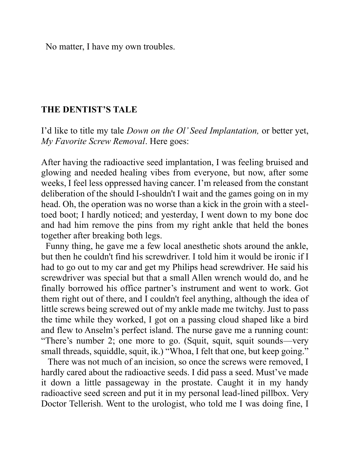No matter, I have my own troubles.

#### **THE DENTIST'S TALE**

I'd like to title my tale *Down on the Ol' Seed Implantation,* or better yet, *My Favorite Screw Removal*. Here goes:

After having the radioactive seed implantation, I was feeling bruised and glowing and needed healing vibes from everyone, but now, after some weeks, I feel less oppressed having cancer. I'm released from the constant deliberation of the should I-shouldn't I wait and the games going on in my head. Oh, the operation was no worse than a kick in the groin with a steeltoed boot; I hardly noticed; and yesterday, I went down to my bone doc and had him remove the pins from my right ankle that held the bones together after breaking both legs.

 Funny thing, he gave me a few local anesthetic shots around the ankle, but then he couldn't find his screwdriver. I told him it would be ironic if I had to go out to my car and get my Philips head screwdriver. He said his screwdriver was special but that a small Allen wrench would do, and he finally borrowed his office partner's instrument and went to work. Got them right out of there, and I couldn't feel anything, although the idea of little screws being screwed out of my ankle made me twitchy. Just to pass the time while they worked, I got on a passing cloud shaped like a bird and flew to Anselm's perfect island. The nurse gave me a running count: "There's number 2; one more to go. (Squit, squit, squit sounds—very small threads, squiddle, squit, ik.) "Whoa, I felt that one, but keep going."

 There was not much of an incision, so once the screws were removed, I hardly cared about the radioactive seeds. I did pass a seed. Must've made it down a little passageway in the prostate. Caught it in my handy radioactive seed screen and put it in my personal lead-lined pillbox. Very Doctor Tellerish. Went to the urologist, who told me I was doing fine, I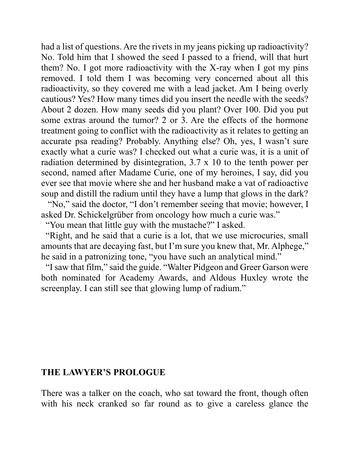had a list of questions. Are the rivets in my jeans picking up radioactivity? No. Told him that I showed the seed I passed to a friend, will that hurt them? No. I got more radioactivity with the X-ray when I got my pins removed. I told them I was becoming very concerned about all this radioactivity, so they covered me with a lead jacket. Am I being overly cautious? Yes? How many times did you insert the needle with the seeds? About 2 dozen. How many seeds did you plant? Over 100. Did you put some extras around the tumor? 2 or 3. Are the effects of the hormone treatment going to conflict with the radioactivity as it relates to getting an accurate psa reading? Probably. Anything else? Oh, yes, I wasn't sure exactly what a curie was? I checked out what a curie was, it is a unit of radiation determined by disintegration, 3.7 x 10 to the tenth power per second, named after Madame Curie, one of my heroines, I say, did you ever see that movie where she and her husband make a vat of radioactive soup and distill the radium until they have a lump that glows in the dark? "No," said the doctor, "I don't remember seeing that movie; however, I

asked Dr. Schickelgrüber from oncology how much a curie was."

"You mean that little guy with the mustache?" I asked.

 "Right, and he said that a curie is a lot, that we use microcuries, small amounts that are decaying fast, but I'm sure you knew that, Mr. Alphege," he said in a patronizing tone, "you have such an analytical mind."

 "I saw that film," said the guide. "Walter Pidgeon and Greer Garson were both nominated for Academy Awards, and Aldous Huxley wrote the screenplay. I can still see that glowing lump of radium."

### **THE LAWYER'S PROLOGUE**

There was a talker on the coach, who sat toward the front, though often with his neck cranked so far round as to give a careless glance the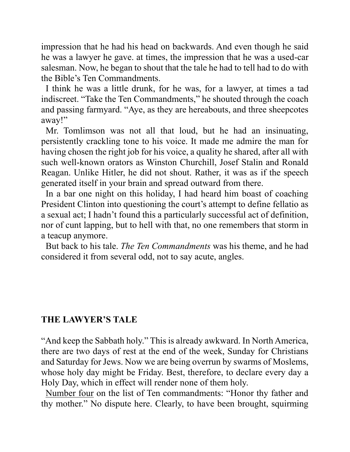impression that he had his head on backwards. And even though he said he was a lawyer he gave. at times, the impression that he was a used-car salesman. Now, he began to shout that the tale he had to tell had to do with the Bible's Ten Commandments.

 I think he was a little drunk, for he was, for a lawyer, at times a tad indiscreet. "Take the Ten Commandments," he shouted through the coach and passing farmyard. "Aye, as they are hereabouts, and three sheepcotes away!"

 Mr. Tomlimson was not all that loud, but he had an insinuating, persistently crackling tone to his voice. It made me admire the man for having chosen the right job for his voice, a quality he shared, after all with such well-known orators as Winston Churchill, Josef Stalin and Ronald Reagan. Unlike Hitler, he did not shout. Rather, it was as if the speech generated itself in your brain and spread outward from there.

 In a bar one night on this holiday, I had heard him boast of coaching President Clinton into questioning the court's attempt to define fellatio as a sexual act; I hadn't found this a particularly successful act of definition, nor of cunt lapping, but to hell with that, no one remembers that storm in a teacup anymore.

 But back to his tale. *The Ten Commandments* was his theme, and he had considered it from several odd, not to say acute, angles.

# **THE LAWYER'S TALE**

"And keep the Sabbath holy." This is already awkward. In North America, there are two days of rest at the end of the week, Sunday for Christians and Saturday for Jews. Now we are being overrun by swarms of Moslems, whose holy day might be Friday. Best, therefore, to declare every day a Holy Day, which in effect will render none of them holy.

 Number four on the list of Ten commandments: "Honor thy father and thy mother." No dispute here. Clearly, to have been brought, squirming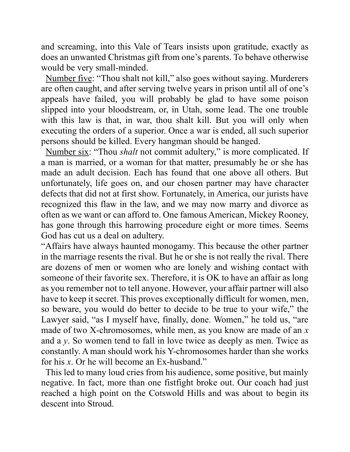and screaming, into this Vale of Tears insists upon gratitude, exactly as does an unwanted Christmas gift from one's parents. To behave otherwise would be very small-minded.

 Number five: "Thou shalt not kill," also goes without saying. Murderers are often caught, and after serving twelve years in prison until all of one's appeals have failed, you will probably be glad to have some poison slipped into your bloodstream, or, in Utah, some lead. The one trouble with this law is that, in war, thou shalt kill. But you will only when executing the orders of a superior. Once a war is ended, all such superior persons should be killed. Every hangman should be hanged.

 Number six: "Thou *shalt* not commit adultery," is more complicated. If a man is married, or a woman for that matter, presumably he or she has made an adult decision. Each has found that one above all others. But unfortunately, life goes on, and our chosen partner may have character defects that did not at first show. Fortunately, in America, our jurists have recognized this flaw in the law, and we may now marry and divorce as often as we want or can afford to. One famous American, Mickey Rooney, has gone through this harrowing procedure eight or more times. Seems God has cut us a deal on adultery.

"Affairs have always haunted monogamy. This because the other partner in the marriage resents the rival. But he or she is not really the rival. There are dozens of men or women who are lonely and wishing contact with someone of their favorite sex. Therefore, it is OK to have an affair as long as you remember not to tell anyone. However, your affair partner will also have to keep it secret. This proves exceptionally difficult for women, men, so beware, you would do better to decide to be true to your wife," the Lawyer said, "as I myself have, finally, done. Women," he told us, "are made of two X-chromosomes, while men, as you know are made of an *x* and a *y*. So women tend to fall in love twice as deeply as men. Twice as constantly. A man should work his Y-chromosomes harder than she works for his *x*. Or he will become an Ex-husband."

 This led to many loud cries from his audience, some positive, but mainly negative. In fact, more than one fistfight broke out. Our coach had just reached a high point on the Cotswold Hills and was about to begin its descent into Stroud.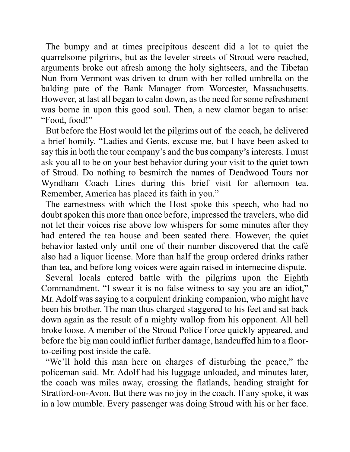The bumpy and at times precipitous descent did a lot to quiet the quarrelsome pilgrims, but as the leveler streets of Stroud were reached, arguments broke out afresh among the holy sightseers, and the Tibetan Nun from Vermont was driven to drum with her rolled umbrella on the balding pate of the Bank Manager from Worcester, Massachusetts. However, at last all began to calm down, as the need for some refreshment was borne in upon this good soul. Then, a new clamor began to arise: "Food, food!"

 But before the Host would let the pilgrims out of the coach, he delivered a brief homily. "Ladies and Gents, excuse me, but I have been asked to say this in both the tour company's and the bus company's interests. I must ask you all to be on your best behavior during your visit to the quiet town of Stroud. Do nothing to besmirch the names of Deadwood Tours nor Wyndham Coach Lines during this brief visit for afternoon tea. Remember, America has placed its faith in you."

 The earnestness with which the Host spoke this speech, who had no doubt spoken this more than once before, impressed the travelers, who did not let their voices rise above low whispers for some minutes after they had entered the tea house and been seated there. However, the quiet behavior lasted only until one of their number discovered that the café also had a liquor license. More than half the group ordered drinks rather than tea, and before long voices were again raised in internecine dispute.

 Several locals entered battle with the pilgrims upon the Eighth Commandment. "I swear it is no false witness to say you are an idiot," Mr. Adolf was saying to a corpulent drinking companion, who might have been his brother. The man thus charged staggered to his feet and sat back down again as the result of a mighty wallop from his opponent. All hell broke loose. A member of the Stroud Police Force quickly appeared, and before the big man could inflict further damage, handcuffed him to a floorto-ceiling post inside the café.

 "We'll hold this man here on charges of disturbing the peace," the policeman said. Mr. Adolf had his luggage unloaded, and minutes later, the coach was miles away, crossing the flatlands, heading straight for Stratford-on-Avon. But there was no joy in the coach. If any spoke, it was in a low mumble. Every passenger was doing Stroud with his or her face.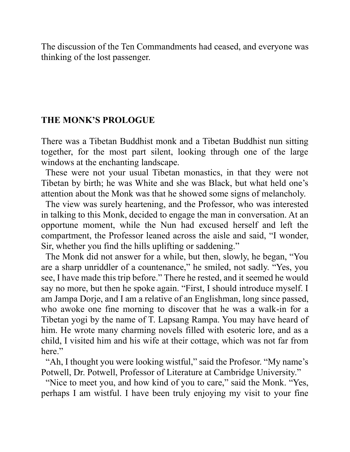The discussion of the Ten Commandments had ceased, and everyone was thinking of the lost passenger.

#### **THE MONK'S PROLOGUE**

There was a Tibetan Buddhist monk and a Tibetan Buddhist nun sitting together, for the most part silent, looking through one of the large windows at the enchanting landscape.

 These were not your usual Tibetan monastics, in that they were not Tibetan by birth; he was White and she was Black, but what held one's attention about the Monk was that he showed some signs of melancholy.

 The view was surely heartening, and the Professor, who was interested in talking to this Monk, decided to engage the man in conversation. At an opportune moment, while the Nun had excused herself and left the compartment, the Professor leaned across the aisle and said, "I wonder, Sir, whether you find the hills uplifting or saddening."

 The Monk did not answer for a while, but then, slowly, he began, "You are a sharp unriddler of a countenance," he smiled, not sadly. "Yes, you see, I have made this trip before." There he rested, and it seemed he would say no more, but then he spoke again. "First, I should introduce myself. I am Jampa Dorje, and I am a relative of an Englishman, long since passed, who awoke one fine morning to discover that he was a walk-in for a Tibetan yogi by the name of T. Lapsang Rampa. You may have heard of him. He wrote many charming novels filled with esoteric lore, and as a child, I visited him and his wife at their cottage, which was not far from here."

 "Ah, I thought you were looking wistful," said the Profesor. "My name's Potwell, Dr. Potwell, Professor of Literature at Cambridge University."

 "Nice to meet you, and how kind of you to care," said the Monk. "Yes, perhaps I am wistful. I have been truly enjoying my visit to your fine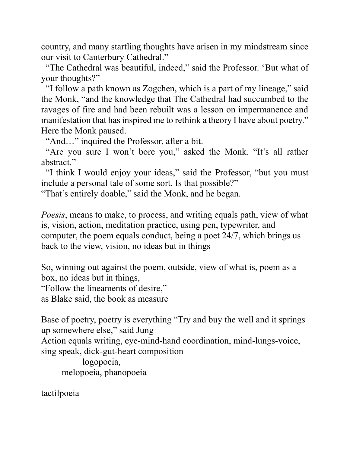country, and many startling thoughts have arisen in my mindstream since our visit to Canterbury Cathedral."

 "The Cathedral was beautiful, indeed," said the Professor. 'But what of your thoughts?"

 "I follow a path known as Zogchen, which is a part of my lineage," said the Monk, "and the knowledge that The Cathedral had succumbed to the ravages of fire and had been rebuilt was a lesson on impermanence and manifestation that has inspired me to rethink a theory I have about poetry." Here the Monk paused.

"And…" inquired the Professor, after a bit.

 "Are you sure I won't bore you," asked the Monk. "It's all rather abstract."

 "I think I would enjoy your ideas," said the Professor, "but you must include a personal tale of some sort. Is that possible?"

"That's entirely doable," said the Monk, and he began.

*Poesis*, means to make, to process, and writing equals path, view of what is, vision, action, meditation practice, using pen, typewriter, and computer, the poem equals conduct, being a poet 24/7, which brings us back to the view, vision, no ideas but in things

So, winning out against the poem, outside, view of what is, poem as a box, no ideas but in things,

"Follow the lineaments of desire,"

as Blake said, the book as measure

Base of poetry, poetry is everything "Try and buy the well and it springs up somewhere else," said Jung Action equals writing, eye-mind-hand coordination, mind-lungs-voice, sing speak, dick-gut-heart composition logopoeia,

melopoeia, phanopoeia

tactilpoeia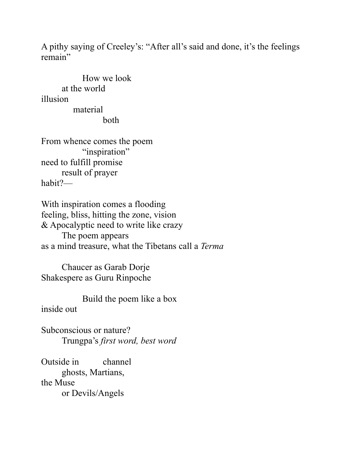A pithy saying of Creeley's: "After all's said and done, it's the feelings remain"

How we look at the world illusion material both

From whence comes the poem "inspiration" need to fulfill promise result of prayer habit?—

With inspiration comes a flooding feeling, bliss, hitting the zone, vision & Apocalyptic need to write like crazy The poem appears as a mind treasure, what the Tibetans call a *Terma*

Chaucer as Garab Dorje Shakespere as Guru Rinpoche

Build the poem like a box

inside out

Subconscious or nature? Trungpa's *first word, best word*

Outside in channel ghosts, Martians, the Muse or Devils/Angels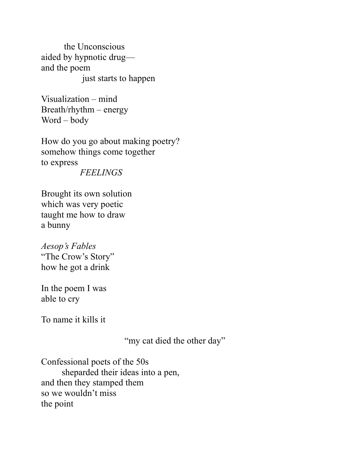the Unconscious aided by hypnotic drug and the poem just starts to happen

Visualization – mind Breath/rhythm – energy Word – body

How do you go about making poetry? somehow things come together to express  *FEELINGS*

Brought its own solution which was very poetic taught me how to draw a bunny

*Aesop's Fables* "The Crow's Story" how he got a drink

In the poem I was able to cry

To name it kills it

"my cat died the other day"

Confessional poets of the 50s sheparded their ideas into a pen, and then they stamped them so we wouldn't miss the point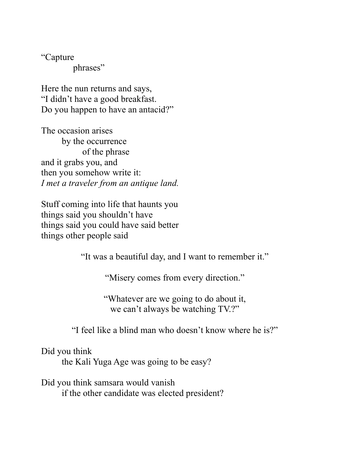"Capture phrases"

Here the nun returns and says, "I didn't have a good breakfast. Do you happen to have an antacid?"

The occasion arises by the occurrence of the phrase and it grabs you, and then you somehow write it: *I met a traveler from an antique land.*

Stuff coming into life that haunts you things said you shouldn't have things said you could have said better things other people said

"It was a beautiful day, and I want to remember it."

"Misery comes from every direction."

"Whatever are we going to do about it, we can't always be watching TV.?"

"I feel like a blind man who doesn't know where he is?"

Did you think

the Kali Yuga Age was going to be easy?

Did you think samsara would vanish if the other candidate was elected president?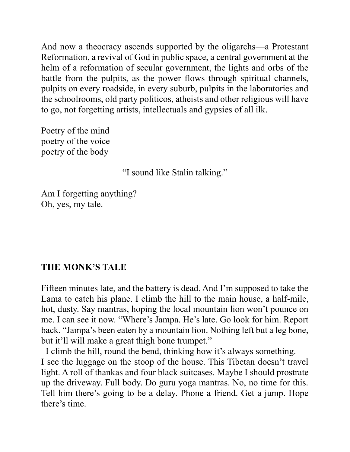And now a theocracy ascends supported by the oligarchs—a Protestant Reformation, a revival of God in public space, a central government at the helm of a reformation of secular government, the lights and orbs of the battle from the pulpits, as the power flows through spiritual channels, pulpits on every roadside, in every suburb, pulpits in the laboratories and the schoolrooms, old party politicos, atheists and other religious will have to go, not forgetting artists, intellectuals and gypsies of all ilk.

Poetry of the mind poetry of the voice poetry of the body

"I sound like Stalin talking."

Am I forgetting anything? Oh, yes, my tale.

# **THE MONK'S TALE**

Fifteen minutes late, and the battery is dead. And I'm supposed to take the Lama to catch his plane. I climb the hill to the main house, a half-mile, hot, dusty. Say mantras, hoping the local mountain lion won't pounce on me. I can see it now. "Where's Jampa. He's late. Go look for him. Report back. "Jampa's been eaten by a mountain lion. Nothing left but a leg bone, but it'll will make a great thigh bone trumpet."

 I climb the hill, round the bend, thinking how it's always something. I see the luggage on the stoop of the house. This Tibetan doesn't travel light. A roll of thankas and four black suitcases. Maybe I should prostrate up the driveway. Full body. Do guru yoga mantras. No, no time for this. Tell him there's going to be a delay. Phone a friend. Get a jump. Hope there's time.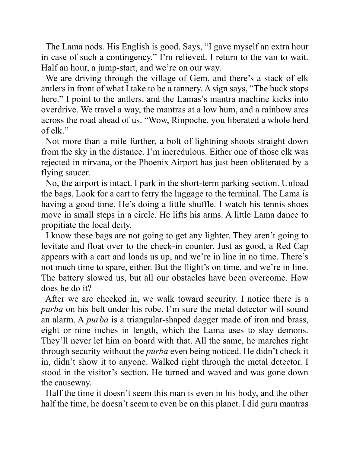The Lama nods. His English is good. Says, "I gave myself an extra hour in case of such a contingency." I'm relieved. I return to the van to wait. Half an hour, a jump-start, and we're on our way.

 We are driving through the village of Gem, and there's a stack of elk antlers in front of what I take to be a tannery. A sign says, "The buck stops here." I point to the antlers, and the Lamas's mantra machine kicks into overdrive. We travel a way, the mantras at a low hum, and a rainbow arcs across the road ahead of us. "Wow, Rinpoche, you liberated a whole herd of elk."

 Not more than a mile further, a bolt of lightning shoots straight down from the sky in the distance. I'm incredulous. Either one of those elk was rejected in nirvana, or the Phoenix Airport has just been obliterated by a flying saucer.

 No, the airport is intact. I park in the short-term parking section. Unload the bags. Look for a cart to ferry the luggage to the terminal. The Lama is having a good time. He's doing a little shuffle. I watch his tennis shoes move in small steps in a circle. He lifts his arms. A little Lama dance to propitiate the local deity.

 I know these bags are not going to get any lighter. They aren't going to levitate and float over to the check-in counter. Just as good, a Red Cap appears with a cart and loads us up, and we're in line in no time. There's not much time to spare, either. But the flight's on time, and we're in line. The battery slowed us, but all our obstacles have been overcome. How does he do it?

 After we are checked in, we walk toward security. I notice there is a *purba* on his belt under his robe. I'm sure the metal detector will sound an alarm. A *purba* is a triangular-shaped dagger made of iron and brass, eight or nine inches in length, which the Lama uses to slay demons. They'll never let him on board with that. All the same, he marches right through security without the *purba* even being noticed. He didn't check it in, didn't show it to anyone. Walked right through the metal detector. I stood in the visitor's section. He turned and waved and was gone down the causeway.

 Half the time it doesn't seem this man is even in his body, and the other half the time, he doesn't seem to even be on this planet. I did guru mantras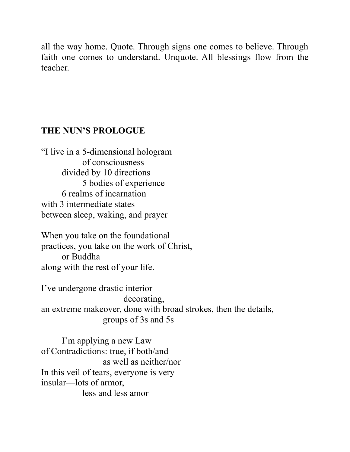all the way home. Quote. Through signs one comes to believe. Through faith one comes to understand. Unquote. All blessings flow from the teacher.

## **THE NUN'S PROLOGUE**

"I live in a 5-dimensional hologram of consciousness divided by 10 directions 5 bodies of experience 6 realms of incarnation with 3 intermediate states between sleep, waking, and prayer

When you take on the foundational practices, you take on the work of Christ, or Buddha along with the rest of your life.

I've undergone drastic interior decorating, an extreme makeover, done with broad strokes, then the details, groups of 3s and 5s

I'm applying a new Law of Contradictions: true, if both/and as well as neither/nor In this veil of tears, everyone is very insular—lots of armor, less and less amor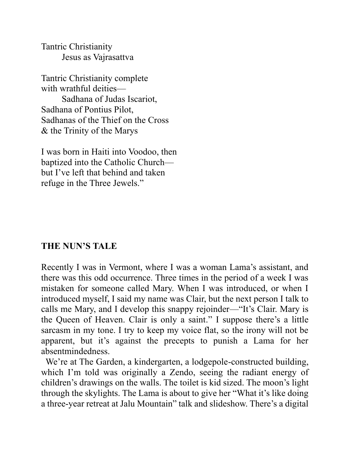Tantric Christianity Jesus as Vajrasattva

Tantric Christianity complete with wrathful deities—

Sadhana of Judas Iscariot, Sadhana of Pontius Pilot, Sadhanas of the Thief on the Cross & the Trinity of the Marys

I was born in Haiti into Voodoo, then baptized into the Catholic Church but I've left that behind and taken refuge in the Three Jewels."

### **THE NUN'S TALE**

Recently I was in Vermont, where I was a woman Lama's assistant, and there was this odd occurrence. Three times in the period of a week I was mistaken for someone called Mary. When I was introduced, or when I introduced myself, I said my name was Clair, but the next person I talk to calls me Mary, and I develop this snappy rejoinder—"It's Clair. Mary is the Queen of Heaven. Clair is only a saint." I suppose there's a little sarcasm in my tone. I try to keep my voice flat, so the irony will not be apparent, but it's against the precepts to punish a Lama for her absentmindedness.

We're at The Garden, a kindergarten, a lodgepole-constructed building, which I'm told was originally a Zendo, seeing the radiant energy of children's drawings on the walls. The toilet is kid sized. The moon's light through the skylights. The Lama is about to give her "What it's like doing a three-year retreat at Jalu Mountain" talk and slideshow. There's a digital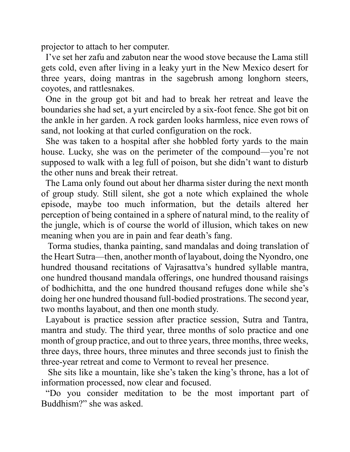projector to attach to her computer.

 I've set her zafu and zabuton near the wood stove because the Lama still gets cold, even after living in a leaky yurt in the New Mexico desert for three years, doing mantras in the sagebrush among longhorn steers, coyotes, and rattlesnakes.

 One in the group got bit and had to break her retreat and leave the boundaries she had set, a yurt encircled by a six-foot fence. She got bit on the ankle in her garden. A rock garden looks harmless, nice even rows of sand, not looking at that curled configuration on the rock.

 She was taken to a hospital after she hobbled forty yards to the main house. Lucky, she was on the perimeter of the compound—you're not supposed to walk with a leg full of poison, but she didn't want to disturb the other nuns and break their retreat.

 The Lama only found out about her dharma sister during the next month of group study. Still silent, she got a note which explained the whole episode, maybe too much information, but the details altered her perception of being contained in a sphere of natural mind, to the reality of the jungle, which is of course the world of illusion, which takes on new meaning when you are in pain and fear death's fang.

 Torma studies, thanka painting, sand mandalas and doing translation of the Heart Sutra—then, another month of layabout, doing the Nyondro, one hundred thousand recitations of Vajrasattva's hundred syllable mantra, one hundred thousand mandala offerings, one hundred thousand raisings of bodhichitta, and the one hundred thousand refuges done while she's doing her one hundred thousand full-bodied prostrations. The second year, two months layabout, and then one month study.

 Layabout is practice session after practice session, Sutra and Tantra, mantra and study. The third year, three months of solo practice and one month of group practice, and out to three years, three months, three weeks, three days, three hours, three minutes and three seconds just to finish the three-year retreat and come to Vermont to reveal her presence.

 She sits like a mountain, like she's taken the king's throne, has a lot of information processed, now clear and focused.

 "Do you consider meditation to be the most important part of Buddhism?" she was asked.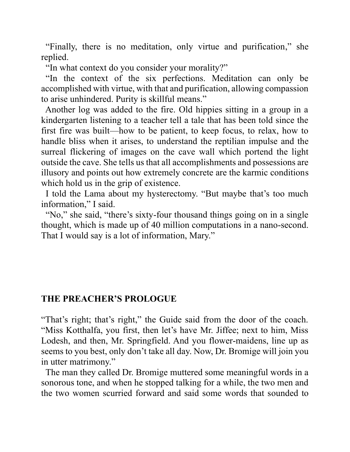"Finally, there is no meditation, only virtue and purification," she replied.

"In what context do you consider your morality?"

 "In the context of the six perfections. Meditation can only be accomplished with virtue, with that and purification, allowing compassion to arise unhindered. Purity is skillful means."

 Another log was added to the fire. Old hippies sitting in a group in a kindergarten listening to a teacher tell a tale that has been told since the first fire was built—how to be patient, to keep focus, to relax, how to handle bliss when it arises, to understand the reptilian impulse and the surreal flickering of images on the cave wall which portend the light outside the cave. She tells us that all accomplishments and possessions are illusory and points out how extremely concrete are the karmic conditions which hold us in the grip of existence.

 I told the Lama about my hysterectomy. "But maybe that's too much information," I said.

 "No," she said, "there's sixty-four thousand things going on in a single thought, which is made up of 40 million computations in a nano-second. That I would say is a lot of information, Mary."

# **THE PREACHER'S PROLOGUE**

"That's right; that's right," the Guide said from the door of the coach. "Miss Kotthalfa, you first, then let's have Mr. Jiffee; next to him, Miss Lodesh, and then, Mr. Springfield. And you flower-maidens, line up as seems to you best, only don't take all day. Now, Dr. Bromige will join you in utter matrimony."

 The man they called Dr. Bromige muttered some meaningful words in a sonorous tone, and when he stopped talking for a while, the two men and the two women scurried forward and said some words that sounded to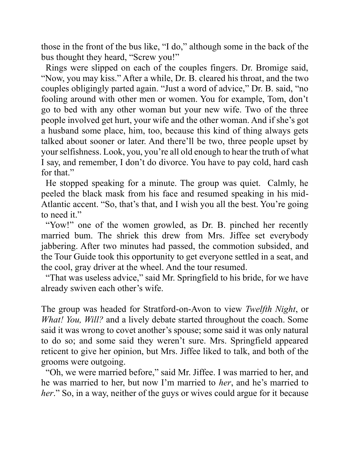those in the front of the bus like, "I do," although some in the back of the bus thought they heard, "Screw you!"

 Rings were slipped on each of the couples fingers. Dr. Bromige said, "Now, you may kiss." After a while, Dr. B. cleared his throat, and the two couples obligingly parted again. "Just a word of advice," Dr. B. said, "no fooling around with other men or women. You for example, Tom, don't go to bed with any other woman but your new wife. Two of the three people involved get hurt, your wife and the other woman. And if she's got a husband some place, him, too, because this kind of thing always gets talked about sooner or later. And there'll be two, three people upset by your selfishness. Look, you, you're all old enough to hear the truth of what I say, and remember, I don't do divorce. You have to pay cold, hard cash for that."

 He stopped speaking for a minute. The group was quiet. Calmly, he peeled the black mask from his face and resumed speaking in his mid-Atlantic accent. "So, that's that, and I wish you all the best. You're going to need it."

"Yow!" one of the women growled, as Dr. B. pinched her recently married bum. The shriek this drew from Mrs. Jiffee set everybody jabbering. After two minutes had passed, the commotion subsided, and the Tour Guide took this opportunity to get everyone settled in a seat, and the cool, gray driver at the wheel. And the tour resumed.

 "That was useless advice," said Mr. Springfield to his bride, for we have already swiven each other's wife.

The group was headed for Stratford-on-Avon to view *Twelfth Night*, or *What! You, Will?* and a lively debate started throughout the coach. Some said it was wrong to covet another's spouse; some said it was only natural to do so; and some said they weren't sure. Mrs. Springfield appeared reticent to give her opinion, but Mrs. Jiffee liked to talk, and both of the grooms were outgoing.

 "Oh, we were married before," said Mr. Jiffee. I was married to her, and he was married to her, but now I'm married to *her*, and he's married to *her*." So, in a way, neither of the guys or wives could argue for it because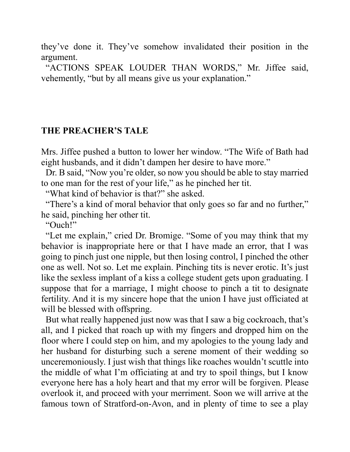they've done it. They've somehow invalidated their position in the argument.

 "ACTIONS SPEAK LOUDER THAN WORDS," Mr. Jiffee said, vehemently, "but by all means give us your explanation."

### **THE PREACHER'S TALE**

Mrs. Jiffee pushed a button to lower her window. "The Wife of Bath had eight husbands, and it didn't dampen her desire to have more."

 Dr. B said, "Now you're older, so now you should be able to stay married to one man for the rest of your life," as he pinched her tit.

"What kind of behavior is that?" she asked.

 "There's a kind of moral behavior that only goes so far and no further," he said, pinching her other tit.

"Ouch!"

 "Let me explain," cried Dr. Bromige. "Some of you may think that my behavior is inappropriate here or that I have made an error, that I was going to pinch just one nipple, but then losing control, I pinched the other one as well. Not so. Let me explain. Pinching tits is never erotic. It's just like the sexless implant of a kiss a college student gets upon graduating. I suppose that for a marriage, I might choose to pinch a tit to designate fertility. And it is my sincere hope that the union I have just officiated at will be blessed with offspring.

 But what really happened just now was that I saw a big cockroach, that's all, and I picked that roach up with my fingers and dropped him on the floor where I could step on him, and my apologies to the young lady and her husband for disturbing such a serene moment of their wedding so unceremoniously. I just wish that things like roaches wouldn't scuttle into the middle of what I'm officiating at and try to spoil things, but I know everyone here has a holy heart and that my error will be forgiven. Please overlook it, and proceed with your merriment. Soon we will arrive at the famous town of Stratford-on-Avon, and in plenty of time to see a play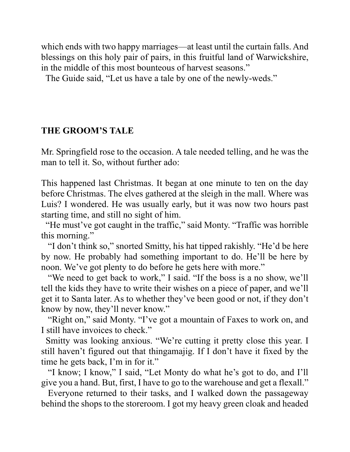which ends with two happy marriages—at least until the curtain falls. And blessings on this holy pair of pairs, in this fruitful land of Warwickshire, in the middle of this most bounteous of harvest seasons."

The Guide said, "Let us have a tale by one of the newly-weds."

## **THE GROOM'S TALE**

Mr. Springfield rose to the occasion. A tale needed telling, and he was the man to tell it. So, without further ado:

This happened last Christmas. It began at one minute to ten on the day before Christmas. The elves gathered at the sleigh in the mall. Where was Luis? I wondered. He was usually early, but it was now two hours past starting time, and still no sight of him.

 "He must've got caught in the traffic," said Monty. "Traffic was horrible this morning."

 "I don't think so," snorted Smitty, his hat tipped rakishly. "He'd be here by now. He probably had something important to do. He'll be here by noon. We've got plenty to do before he gets here with more."

"We need to get back to work," I said. "If the boss is a no show, we'll tell the kids they have to write their wishes on a piece of paper, and we'll get it to Santa later. As to whether they've been good or not, if they don't know by now, they'll never know."

"Right on," said Monty. "I've got a mountain of Faxes to work on, and I still have invoices to check."

 Smitty was looking anxious. "We're cutting it pretty close this year. I still haven't figured out that thingamajig. If I don't have it fixed by the time he gets back, I'm in for it."

 "I know; I know," I said, "Let Monty do what he's got to do, and I'll give you a hand. But, first, I have to go to the warehouse and get a flexall."

 Everyone returned to their tasks, and I walked down the passageway behind the shops to the storeroom. I got my heavy green cloak and headed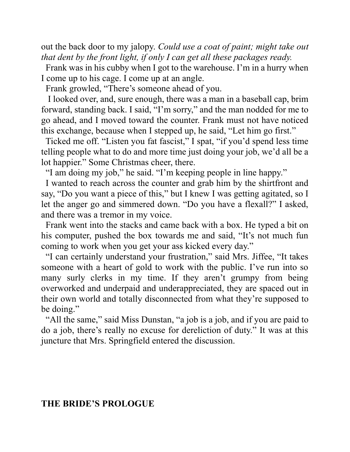out the back door to my jalopy. *Could use a coat of paint; might take out that dent by the front light, if only I can get all these packages ready.* 

 Frank was in his cubby when I got to the warehouse. I'm in a hurry when I come up to his cage. I come up at an angle.

Frank growled, "There's someone ahead of you.

 I looked over, and, sure enough, there was a man in a baseball cap, brim forward, standing back. I said, "I'm sorry," and the man nodded for me to go ahead, and I moved toward the counter. Frank must not have noticed this exchange, because when I stepped up, he said, "Let him go first."

 Ticked me off. "Listen you fat fascist," I spat, "if you'd spend less time telling people what to do and more time just doing your job, we'd all be a lot happier." Some Christmas cheer, there.

"I am doing my job," he said. "I'm keeping people in line happy."

 I wanted to reach across the counter and grab him by the shirtfront and say, "Do you want a piece of this," but I knew I was getting agitated, so I let the anger go and simmered down. "Do you have a flexall?" I asked, and there was a tremor in my voice.

 Frank went into the stacks and came back with a box. He typed a bit on his computer, pushed the box towards me and said, "It's not much fun coming to work when you get your ass kicked every day."

 "I can certainly understand your frustration," said Mrs. Jiffee, "It takes someone with a heart of gold to work with the public. I've run into so many surly clerks in my time. If they aren't grumpy from being overworked and underpaid and underappreciated, they are spaced out in their own world and totally disconnected from what they're supposed to be doing."

 "All the same," said Miss Dunstan, "a job is a job, and if you are paid to do a job, there's really no excuse for dereliction of duty." It was at this juncture that Mrs. Springfield entered the discussion.

### **THE BRIDE'S PROLOGUE**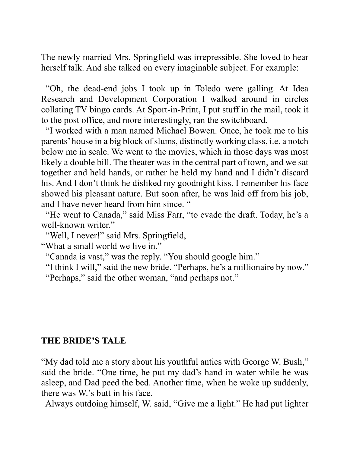The newly married Mrs. Springfield was irrepressible. She loved to hear herself talk. And she talked on every imaginable subject. For example:

 "Oh, the dead-end jobs I took up in Toledo were galling. At Idea Research and Development Corporation I walked around in circles collating TV bingo cards. At Sport-in-Print, I put stuff in the mail, took it to the post office, and more interestingly, ran the switchboard.

 "I worked with a man named Michael Bowen. Once, he took me to his parents' house in a big block of slums, distinctly working class, i.e. a notch below me in scale. We went to the movies, which in those days was most likely a double bill. The theater was in the central part of town, and we sat together and held hands, or rather he held my hand and I didn't discard his. And I don't think he disliked my goodnight kiss. I remember his face showed his pleasant nature. But soon after, he was laid off from his job, and I have never heard from him since. "

 "He went to Canada," said Miss Farr, "to evade the draft. Today, he's a well-known writer."

"Well, I never!" said Mrs. Springfield,

"What a small world we live in."

"Canada is vast," was the reply. "You should google him."

"I think I will," said the new bride. "Perhaps, he's a millionaire by now."

"Perhaps," said the other woman, "and perhaps not."

### **THE BRIDE'S TALE**

"My dad told me a story about his youthful antics with George W. Bush," said the bride. "One time, he put my dad's hand in water while he was asleep, and Dad peed the bed. Another time, when he woke up suddenly, there was W.'s butt in his face.

Always outdoing himself, W. said, "Give me a light." He had put lighter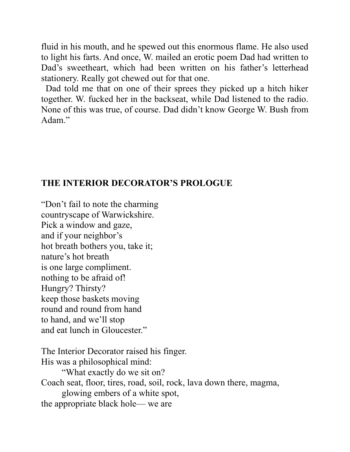fluid in his mouth, and he spewed out this enormous flame. He also used to light his farts. And once, W. mailed an erotic poem Dad had written to Dad's sweetheart, which had been written on his father's letterhead stationery. Really got chewed out for that one.

 Dad told me that on one of their sprees they picked up a hitch hiker together. W. fucked her in the backseat, while Dad listened to the radio. None of this was true, of course. Dad didn't know George W. Bush from Adam."

### **THE INTERIOR DECORATOR'S PROLOGUE**

"Don't fail to note the charming countryscape of Warwickshire. Pick a window and gaze, and if your neighbor's hot breath bothers you, take it; nature's hot breath is one large compliment. nothing to be afraid of! Hungry? Thirsty? keep those baskets moving round and round from hand to hand, and we'll stop and eat lunch in Gloucester."

The Interior Decorator raised his finger. His was a philosophical mind: "What exactly do we sit on? Coach seat, floor, tires, road, soil, rock, lava down there, magma, glowing embers of a white spot, the appropriate black hole— we are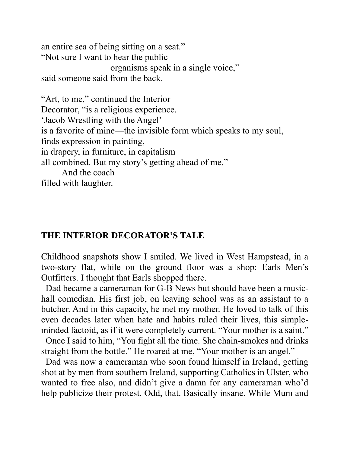an entire sea of being sitting on a seat." "Not sure I want to hear the public organisms speak in a single voice," said someone said from the back.

"Art, to me," continued the Interior Decorator, "is a religious experience. 'Jacob Wrestling with the Angel' is a favorite of mine—the invisible form which speaks to my soul, finds expression in painting, in drapery, in furniture, in capitalism all combined. But my story's getting ahead of me." And the coach filled with laughter.

### **THE INTERIOR DECORATOR'S TALE**

Childhood snapshots show I smiled. We lived in West Hampstead, in a two-story flat, while on the ground floor was a shop: Earls Men's Outfitters. I thought that Earls shopped there.

 Dad became a cameraman for G-B News but should have been a musichall comedian. His first job, on leaving school was as an assistant to a butcher. And in this capacity, he met my mother. He loved to talk of this even decades later when hate and habits ruled their lives, this simpleminded factoid, as if it were completely current. "Your mother is a saint."

 Once I said to him, "You fight all the time. She chain-smokes and drinks straight from the bottle." He roared at me, "Your mother is an angel."

 Dad was now a cameraman who soon found himself in Ireland, getting shot at by men from southern Ireland, supporting Catholics in Ulster, who wanted to free also, and didn't give a damn for any cameraman who'd help publicize their protest. Odd, that. Basically insane. While Mum and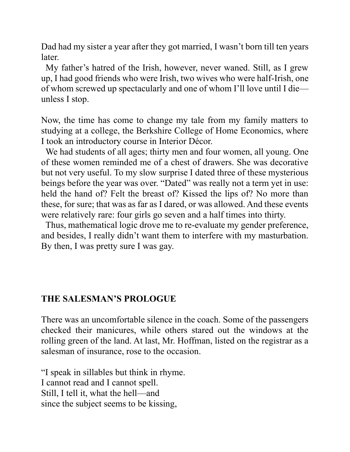Dad had my sister a year after they got married, I wasn't born till ten years later.

 My father's hatred of the Irish, however, never waned. Still, as I grew up, I had good friends who were Irish, two wives who were half-Irish, one of whom screwed up spectacularly and one of whom I'll love until I die unless I stop.

Now, the time has come to change my tale from my family matters to studying at a college, the Berkshire College of Home Economics, where I took an introductory course in Interior Décor.

 We had students of all ages; thirty men and four women, all young. One of these women reminded me of a chest of drawers. She was decorative but not very useful. To my slow surprise I dated three of these mysterious beings before the year was over. "Dated" was really not a term yet in use: held the hand of? Felt the breast of? Kissed the lips of? No more than these, for sure; that was as far as I dared, or was allowed. And these events were relatively rare: four girls go seven and a half times into thirty.

 Thus, mathematical logic drove me to re-evaluate my gender preference, and besides, I really didn't want them to interfere with my masturbation. By then, I was pretty sure I was gay.

# **THE SALESMAN'S PROLOGUE**

There was an uncomfortable silence in the coach. Some of the passengers checked their manicures, while others stared out the windows at the rolling green of the land. At last, Mr. Hoffman, listed on the registrar as a salesman of insurance, rose to the occasion.

"I speak in sillables but think in rhyme. I cannot read and I cannot spell. Still, I tell it, what the hell—and since the subject seems to be kissing,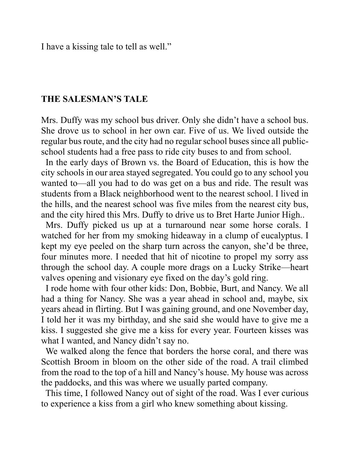I have a kissing tale to tell as well."

#### **THE SALESMAN'S TALE**

Mrs. Duffy was my school bus driver. Only she didn't have a school bus. She drove us to school in her own car. Five of us. We lived outside the regular bus route, and the city had no regular school buses since all publicschool students had a free pass to ride city buses to and from school.

 In the early days of Brown vs. the Board of Education, this is how the city schools in our area stayed segregated. You could go to any school you wanted to—all you had to do was get on a bus and ride. The result was students from a Black neighborhood went to the nearest school. I lived in the hills, and the nearest school was five miles from the nearest city bus, and the city hired this Mrs. Duffy to drive us to Bret Harte Junior High..

 Mrs. Duffy picked us up at a turnaround near some horse corals. I watched for her from my smoking hideaway in a clump of eucalyptus. I kept my eye peeled on the sharp turn across the canyon, she'd be three, four minutes more. I needed that hit of nicotine to propel my sorry ass through the school day. A couple more drags on a Lucky Strike—heart valves opening and visionary eye fixed on the day's gold ring.

 I rode home with four other kids: Don, Bobbie, Burt, and Nancy. We all had a thing for Nancy. She was a year ahead in school and, maybe, six years ahead in flirting. But I was gaining ground, and one November day, I told her it was my birthday, and she said she would have to give me a kiss. I suggested she give me a kiss for every year. Fourteen kisses was what I wanted, and Nancy didn't say no.

 We walked along the fence that borders the horse coral, and there was Scottish Broom in bloom on the other side of the road. A trail climbed from the road to the top of a hill and Nancy's house. My house was across the paddocks, and this was where we usually parted company.

 This time, I followed Nancy out of sight of the road. Was I ever curious to experience a kiss from a girl who knew something about kissing.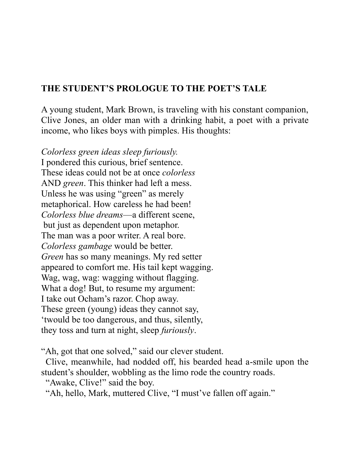# **THE STUDENT'S PROLOGUE TO THE POET'S TALE**

A young student, Mark Brown, is traveling with his constant companion, Clive Jones, an older man with a drinking habit, a poet with a private income, who likes boys with pimples. His thoughts:

*Colorless green ideas sleep furiously.* I pondered this curious, brief sentence. These ideas could not be at once *colorless* AND *green*. This thinker had left a mess. Unless he was using "green" as merely metaphorical. How careless he had been! *Colorless blue dreams*—a different scene, but just as dependent upon metaphor. The man was a poor writer. A real bore. *Colorless gambage* would be better. *Green* has so many meanings. My red setter appeared to comfort me. His tail kept wagging. Wag, wag, wag: wagging without flagging. What a dog! But, to resume my argument: I take out Ocham's razor. Chop away. These green (young) ideas they cannot say, 'twould be too dangerous, and thus, silently, they toss and turn at night, sleep *furiously*.

"Ah, got that one solved," said our clever student.

 Clive, meanwhile, had nodded off, his bearded head a-smile upon the student's shoulder, wobbling as the limo rode the country roads.

"Awake, Clive!" said the boy.

"Ah, hello, Mark, muttered Clive, "I must've fallen off again."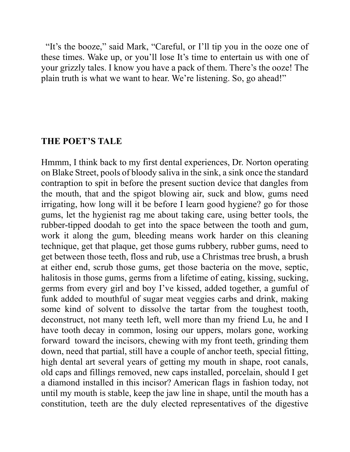"It's the booze," said Mark, "Careful, or I'll tip you in the ooze one of these times. Wake up, or you'll lose It's time to entertain us with one of your grizzly tales. I know you have a pack of them. There's the ooze! The plain truth is what we want to hear. We're listening. So, go ahead!"

#### **THE POET'S TALE**

Hmmm, I think back to my first dental experiences, Dr. Norton operating on Blake Street, pools of bloody saliva in the sink, a sink once the standard contraption to spit in before the present suction device that dangles from the mouth, that and the spigot blowing air, suck and blow, gums need irrigating, how long will it be before I learn good hygiene? go for those gums, let the hygienist rag me about taking care, using better tools, the rubber-tipped doodah to get into the space between the tooth and gum, work it along the gum, bleeding means work harder on this cleaning technique, get that plaque, get those gums rubbery, rubber gums, need to get between those teeth, floss and rub, use a Christmas tree brush, a brush at either end, scrub those gums, get those bacteria on the move, septic, halitosis in those gums, germs from a lifetime of eating, kissing, sucking, germs from every girl and boy I've kissed, added together, a gumful of funk added to mouthful of sugar meat veggies carbs and drink, making some kind of solvent to dissolve the tartar from the toughest tooth, deconstruct, not many teeth left, well more than my friend Lu, he and I have tooth decay in common, losing our uppers, molars gone, working forward toward the incisors, chewing with my front teeth, grinding them down, need that partial, still have a couple of anchor teeth, special fitting, high dental art several years of getting my mouth in shape, root canals, old caps and fillings removed, new caps installed, porcelain, should I get a diamond installed in this incisor? American flags in fashion today, not until my mouth is stable, keep the jaw line in shape, until the mouth has a constitution, teeth are the duly elected representatives of the digestive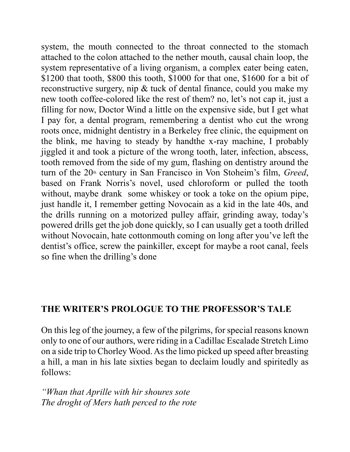system, the mouth connected to the throat connected to the stomach attached to the colon attached to the nether mouth, causal chain loop, the system representative of a living organism, a complex eater being eaten, \$1200 that tooth, \$800 this tooth, \$1000 for that one, \$1600 for a bit of reconstructive surgery, nip & tuck of dental finance, could you make my new tooth coffee-colored like the rest of them? no, let's not cap it, just a filling for now, Doctor Wind a little on the expensive side, but I get what I pay for, a dental program, remembering a dentist who cut the wrong roots once, midnight dentistry in a Berkeley free clinic, the equipment on the blink, me having to steady by handthe x-ray machine, I probably jiggled it and took a picture of the wrong tooth, later, infection, abscess, tooth removed from the side of my gum, flashing on dentistry around the turn of the 20<sup>th</sup> century in San Francisco in Von Stoheim's film, *Greed*, based on Frank Norris's novel, used chloroform or pulled the tooth without, maybe drank some whiskey or took a toke on the opium pipe, just handle it, I remember getting Novocain as a kid in the late 40s, and the drills running on a motorized pulley affair, grinding away, today's powered drills get the job done quickly, so I can usually get a tooth drilled without Novocain, hate cottonmouth coming on long after you've left the dentist's office, screw the painkiller, except for maybe a root canal, feels so fine when the drilling's done

## **THE WRITER'S PROLOGUE TO THE PROFESSOR'S TALE**

On this leg of the journey, a few of the pilgrims, for special reasons known only to one of our authors, were riding in a Cadillac Escalade Stretch Limo on a side trip to Chorley Wood. As the limo picked up speed after breasting a hill, a man in his late sixties began to declaim loudly and spiritedly as follows:

*"Whan that Aprille with hir shoures sote The droght of Mers hath perced to the rote*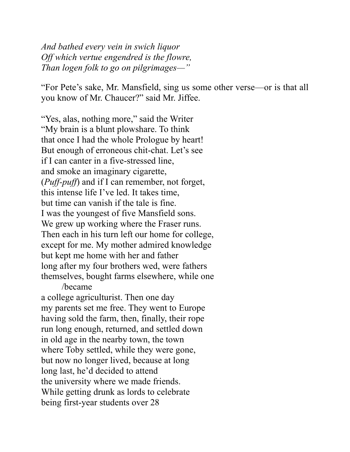*And bathed every vein in swich liquor Off which vertue engendred is the flowre, Than logen folk to go on pilgrimages—"*

"For Pete's sake, Mr. Mansfield, sing us some other verse—or is that all you know of Mr. Chaucer?" said Mr. Jiffee.

"Yes, alas, nothing more," said the Writer "My brain is a blunt plowshare. To think that once I had the whole Prologue by heart! But enough of erroneous chit-chat. Let's see if I can canter in a five-stressed line, and smoke an imaginary cigarette, (*Puff-puff*) and if I can remember, not forget, this intense life I've led. It takes time, but time can vanish if the tale is fine. I was the youngest of five Mansfield sons. We grew up working where the Fraser runs. Then each in his turn left our home for college, except for me. My mother admired knowledge but kept me home with her and father long after my four brothers wed, were fathers themselves, bought farms elsewhere, while one /became

a college agriculturist. Then one day my parents set me free. They went to Europe having sold the farm, then, finally, their rope run long enough, returned, and settled down in old age in the nearby town, the town where Toby settled, while they were gone, but now no longer lived, because at long long last, he'd decided to attend the university where we made friends. While getting drunk as lords to celebrate being first-year students over 28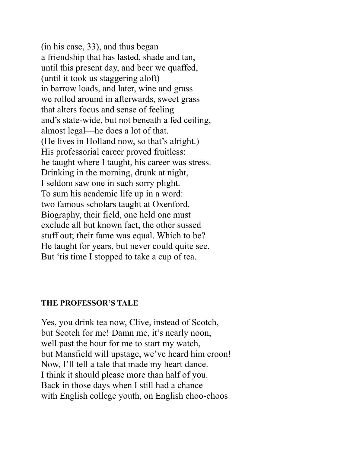(in his case, 33), and thus began a friendship that has lasted, shade and tan, until this present day, and beer we quaffed, (until it took us staggering aloft) in barrow loads, and later, wine and grass we rolled around in afterwards, sweet grass that alters focus and sense of feeling and's state-wide, but not beneath a fed ceiling, almost legal—he does a lot of that. (He lives in Holland now, so that's alright.) His professorial career proved fruitless: he taught where I taught, his career was stress. Drinking in the morning, drunk at night, I seldom saw one in such sorry plight. To sum his academic life up in a word: two famous scholars taught at Oxenford. Biography, their field, one held one must exclude all but known fact, the other sussed stuff out; their fame was equal. Which to be? He taught for years, but never could quite see. But 'tis time I stopped to take a cup of tea.

#### **THE PROFESSOR'S TALE**

Yes, you drink tea now, Clive, instead of Scotch, but Scotch for me! Damn me, it's nearly noon, well past the hour for me to start my watch, but Mansfield will upstage, we've heard him croon! Now, I'll tell a tale that made my heart dance. I think it should please more than half of you. Back in those days when I still had a chance with English college youth, on English choo-choos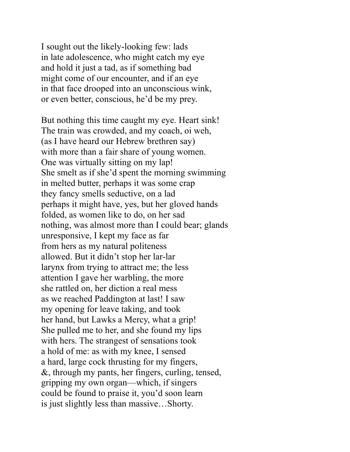I sought out the likely-looking few: lads in late adolescence, who might catch my eye and hold it just a tad, as if something bad might come of our encounter, and if an eye in that face drooped into an unconscious wink, or even better, conscious, he'd be my prey.

But nothing this time caught my eye. Heart sink! The train was crowded, and my coach, oi weh, (as I have heard our Hebrew brethren say) with more than a fair share of young women. One was virtually sitting on my lap! She smelt as if she'd spent the morning swimming in melted butter, perhaps it was some crap they fancy smells seductive, on a lad perhaps it might have, yes, but her gloved hands folded, as women like to do, on her sad nothing, was almost more than I could bear; glands unresponsive, I kept my face as far from hers as my natural politeness allowed. But it didn't stop her lar-lar larynx from trying to attract me; the less attention I gave her warbling, the more she rattled on, her diction a real mess as we reached Paddington at last! I saw my opening for leave taking, and took her hand, but Lawks a Mercy, what a grip! She pulled me to her, and she found my lips with hers. The strangest of sensations took a hold of me: as with my knee, I sensed a hard, large cock thrusting for my fingers, &, through my pants, her fingers, curling, tensed, gripping my own organ—which, if singers could be found to praise it, you'd soon learn is just slightly less than massive…Shorty.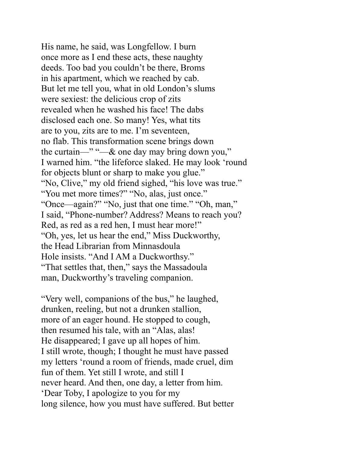His name, he said, was Longfellow. I burn once more as I end these acts, these naughty deeds. Too bad you couldn't be there, Broms in his apartment, which we reached by cab. But let me tell you, what in old London's slums were sexiest: the delicious crop of zits revealed when he washed his face! The dabs disclosed each one. So many! Yes, what tits are to you, zits are to me. I'm seventeen, no flab. This transformation scene brings down the curtain—" "—& one day may bring down you," I warned him. "the lifeforce slaked. He may look 'round for objects blunt or sharp to make you glue." "No, Clive," my old friend sighed, "his love was true." "You met more times?" "No, alas, just once." "Once—again?" "No, just that one time." "Oh, man," I said, "Phone-number? Address? Means to reach you? Red, as red as a red hen, I must hear more!" "Oh, yes, let us hear the end," Miss Duckworthy, the Head Librarian from Minnasdoula Hole insists. "And I AM a Duckworthsy." "That settles that, then," says the Massadoula man, Duckworthy's traveling companion.

"Very well, companions of the bus," he laughed, drunken, reeling, but not a drunken stallion, more of an eager hound. He stopped to cough, then resumed his tale, with an "Alas, alas! He disappeared; I gave up all hopes of him. I still wrote, though; I thought he must have passed my letters 'round a room of friends, made cruel, dim fun of them. Yet still I wrote, and still I never heard. And then, one day, a letter from him. 'Dear Toby, I apologize to you for my long silence, how you must have suffered. But better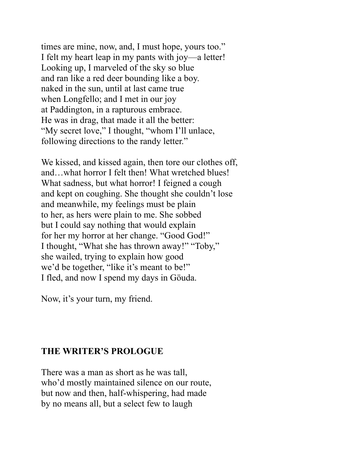times are mine, now, and, I must hope, yours too." I felt my heart leap in my pants with joy—a letter! Looking up, I marveled of the sky so blue and ran like a red deer bounding like a boy. naked in the sun, until at last came true when Longfello; and I met in our joy at Paddington, in a rapturous embrace. He was in drag, that made it all the better: "My secret love," I thought, "whom I'll unlace, following directions to the randy letter."

We kissed, and kissed again, then tore our clothes off, and…what horror I felt then! What wretched blues! What sadness, but what horror! I feigned a cough and kept on coughing. She thought she couldn't lose and meanwhile, my feelings must be plain to her, as hers were plain to me. She sobbed but I could say nothing that would explain for her my horror at her change. "Good God!" I thought, "What she has thrown away!" "Toby," she wailed, trying to explain how good we'd be together, "like it's meant to be!" I fled, and now I spend my days in Göuda.

Now, it's your turn, my friend.

## **THE WRITER'S PROLOGUE**

There was a man as short as he was tall, who'd mostly maintained silence on our route, but now and then, half-whispering, had made by no means all, but a select few to laugh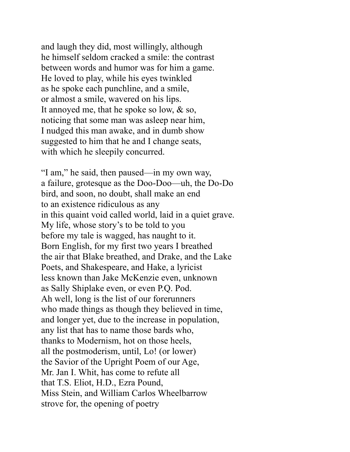and laugh they did, most willingly, although he himself seldom cracked a smile: the contrast between words and humor was for him a game. He loved to play, while his eyes twinkled as he spoke each punchline, and a smile, or almost a smile, wavered on his lips. It annoyed me, that he spoke so low, & so, noticing that some man was asleep near him, I nudged this man awake, and in dumb show suggested to him that he and I change seats, with which he sleepily concurred.

"I am," he said, then paused—in my own way, a failure, grotesque as the Doo-Doo—uh, the Do-Do bird, and soon, no doubt, shall make an end to an existence ridiculous as any in this quaint void called world, laid in a quiet grave. My life, whose story's to be told to you before my tale is wagged, has naught to it. Born English, for my first two years I breathed the air that Blake breathed, and Drake, and the Lake Poets, and Shakespeare, and Hake, a lyricist less known than Jake McKenzie even, unknown as Sally Shiplake even, or even P.Q. Pod. Ah well, long is the list of our forerunners who made things as though they believed in time, and longer yet, due to the increase in population, any list that has to name those bards who, thanks to Modernism, hot on those heels, all the postmoderism, until, Lo! (or lower) the Savior of the Upright Poem of our Age, Mr. Jan I. Whit, has come to refute all that T.S. Eliot, H.D., Ezra Pound, Miss Stein, and William Carlos Wheelbarrow strove for, the opening of poetry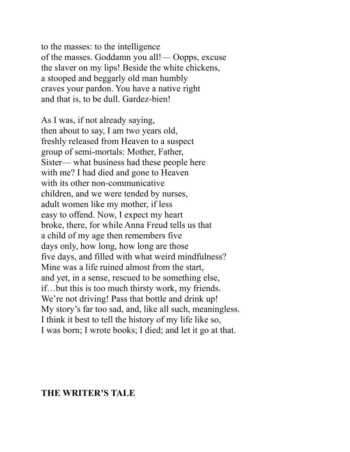to the masses: to the intelligence of the masses. Goddamn you all!— Oopps, excuse the slaver on my lips! Beside the white chickens, a stooped and beggarly old man humbly craves your pardon. You have a native right and that is, to be dull. Gardez-bien!

As I was, if not already saying, then about to say, I am two years old, freshly released from Heaven to a suspect group of semi-mortals: Mother, Father, Sister— what business had these people here with me? I had died and gone to Heaven with its other non-communicative children, and we were tended by nurses, adult women like my mother, if less easy to offend. Now, I expect my heart broke, there, for while Anna Freud tells us that a child of my age then remembers five days only, how long, how long are those five days, and filled with what weird mindfulness? Mine was a life ruined almost from the start, and yet, in a sense, rescued to be something else, if…but this is too much thirsty work, my friends. We're not driving! Pass that bottle and drink up! My story's far too sad, and, like all such, meaningless. I think it best to tell the history of my life like so, I was born; I wrote books; I died; and let it go at that.

#### **THE WRITER'S TALE**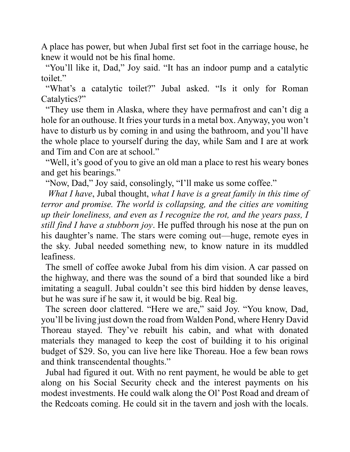A place has power, but when Jubal first set foot in the carriage house, he knew it would not be his final home.

 "You'll like it, Dad," Joy said. "It has an indoor pump and a catalytic toilet."

 "What's a catalytic toilet?" Jubal asked. "Is it only for Roman Catalytics?"

 "They use them in Alaska, where they have permafrost and can't dig a hole for an outhouse. It fries your turds in a metal box. Anyway, you won't have to disturb us by coming in and using the bathroom, and you'll have the whole place to yourself during the day, while Sam and I are at work and Tim and Con are at school."

 "Well, it's good of you to give an old man a place to rest his weary bones and get his bearings."

"Now, Dad," Joy said, consolingly, "I'll make us some coffee."

 *What I have*, Jubal thought, *what I have is a great family in this time of terror and promise. The world is collapsing, and the cities are vomiting up their loneliness, and even as I recognize the rot, and the years pass, I still find I have a stubborn joy*. He puffed through his nose at the pun on his daughter's name. The stars were coming out—huge, remote eyes in the sky. Jubal needed something new, to know nature in its muddled leafiness.

 The smell of coffee awoke Jubal from his dim vision. A car passed on the highway, and there was the sound of a bird that sounded like a bird imitating a seagull. Jubal couldn't see this bird hidden by dense leaves, but he was sure if he saw it, it would be big. Real big.

 The screen door clattered. "Here we are," said Joy. "You know, Dad, you'll be living just down the road from Walden Pond, where Henry David Thoreau stayed. They've rebuilt his cabin, and what with donated materials they managed to keep the cost of building it to his original budget of \$29. So, you can live here like Thoreau. Hoe a few bean rows and think transcendental thoughts."

 Jubal had figured it out. With no rent payment, he would be able to get along on his Social Security check and the interest payments on his modest investments. He could walk along the Ol' Post Road and dream of the Redcoats coming. He could sit in the tavern and josh with the locals.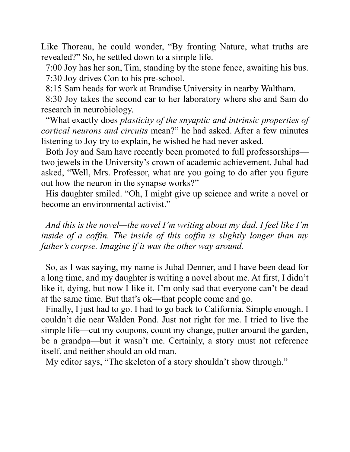Like Thoreau, he could wonder, "By fronting Nature, what truths are revealed?" So, he settled down to a simple life.

 7:00 Joy has her son, Tim, standing by the stone fence, awaiting his bus. 7:30 Joy drives Con to his pre-school.

8:15 Sam heads for work at Brandise University in nearby Waltham.

 8:30 Joy takes the second car to her laboratory where she and Sam do research in neurobiology.

 "What exactly does *plasticity of the snyaptic and intrinsic properties of cortical neurons and circuits* mean?" he had asked. After a few minutes listening to Joy try to explain, he wished he had never asked.

 Both Joy and Sam have recently been promoted to full professorships two jewels in the University's crown of academic achievement. Jubal had asked, "Well, Mrs. Professor, what are you going to do after you figure out how the neuron in the synapse works?"

 His daughter smiled. "Oh, I might give up science and write a novel or become an environmental activist."

 *And this is the novel—the novel I'm writing about my dad. I feel like I'm inside of a coffin. The inside of this coffin is slightly longer than my father's corpse. Imagine if it was the other way around.*

 So, as I was saying, my name is Jubal Denner, and I have been dead for a long time, and my daughter is writing a novel about me. At first, I didn't like it, dying, but now I like it. I'm only sad that everyone can't be dead at the same time. But that's ok—that people come and go.

 Finally, I just had to go. I had to go back to California. Simple enough. I couldn't die near Walden Pond. Just not right for me. I tried to live the simple life—cut my coupons, count my change, putter around the garden, be a grandpa—but it wasn't me. Certainly, a story must not reference itself, and neither should an old man.

My editor says, "The skeleton of a story shouldn't show through."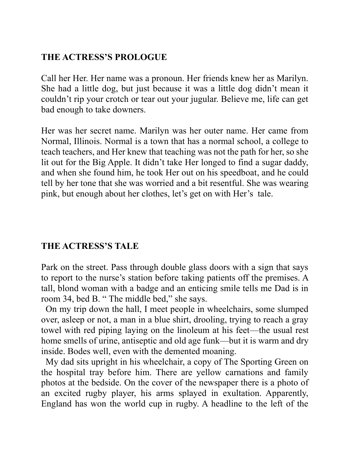# **THE ACTRESS'S PROLOGUE**

Call her Her. Her name was a pronoun. Her friends knew her as Marilyn. She had a little dog, but just because it was a little dog didn't mean it couldn't rip your crotch or tear out your jugular. Believe me, life can get bad enough to take downers.

Her was her secret name. Marilyn was her outer name. Her came from Normal, Illinois. Normal is a town that has a normal school, a college to teach teachers, and Her knew that teaching was not the path for her, so she lit out for the Big Apple. It didn't take Her longed to find a sugar daddy, and when she found him, he took Her out on his speedboat, and he could tell by her tone that she was worried and a bit resentful. She was wearing pink, but enough about her clothes, let's get on with Her's tale.

# **THE ACTRESS'S TALE**

Park on the street. Pass through double glass doors with a sign that says to report to the nurse's station before taking patients off the premises. A tall, blond woman with a badge and an enticing smile tells me Dad is in room 34, bed B. " The middle bed," she says.

 On my trip down the hall, I meet people in wheelchairs, some slumped over, asleep or not, a man in a blue shirt, drooling, trying to reach a gray towel with red piping laying on the linoleum at his feet—the usual rest home smells of urine, antiseptic and old age funk—but it is warm and dry inside. Bodes well, even with the demented moaning.

 My dad sits upright in his wheelchair, a copy of The Sporting Green on the hospital tray before him. There are yellow carnations and family photos at the bedside. On the cover of the newspaper there is a photo of an excited rugby player, his arms splayed in exultation. Apparently, England has won the world cup in rugby. A headline to the left of the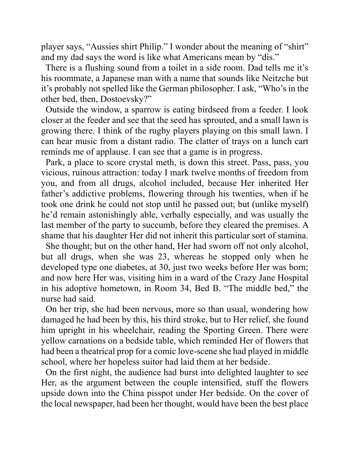player says, "Aussies shirt Philip." I wonder about the meaning of "shirt" and my dad says the word is like what Americans mean by "dis."

 There is a flushing sound from a toilet in a side room. Dad tells me it's his roommate, a Japanese man with a name that sounds like Neitzche but it's probably not spelled like the German philosopher. I ask, "Who's in the other bed, then, Dostoevsky?"

 Outside the window, a sparrow is eating birdseed from a feeder. I look closer at the feeder and see that the seed has sprouted, and a small lawn is growing there. I think of the rugby players playing on this small lawn. I can hear music from a distant radio. The clatter of trays on a lunch cart reminds me of applause. I can see that a game is in progress.

 Park, a place to score crystal meth, is down this street. Pass, pass, you vicious, ruinous attraction: today I mark twelve months of freedom from you, and from all drugs, alcohol included, because Her inherited Her father's addictive problems, flowering through his twenties, when if he took one drink he could not stop until he passed out; but (unlike myself) he'd remain astonishingly able, verbally especially, and was usually the last member of the party to succumb, before they cleared the premises. A shame that his daughter Her did not inherit this particular sort of stamina.

 She thought; but on the other hand, Her had sworn off not only alcohol, but all drugs, when she was 23, whereas he stopped only when he developed type one diabetes, at 30, just two weeks before Her was born; and now here Her was, visiting him in a ward of the Crazy Jane Hospital in his adoptive hometown, in Room 34, Bed B. "The middle bed," the nurse had said.

 On her trip, she had been nervous, more so than usual, wondering how damaged he had been by this, his third stroke, but to Her relief, she found him upright in his wheelchair, reading the Sporting Green. There were yellow carnations on a bedside table, which reminded Her of flowers that had been a theatrical prop for a comic love-scene she had played in middle school, where her hopeless suitor had laid them at her bedside.

 On the first night, the audience had burst into delighted laughter to see Her, as the argument between the couple intensified, stuff the flowers upside down into the China pisspot under Her bedside. On the cover of the local newspaper, had been her thought, would have been the best place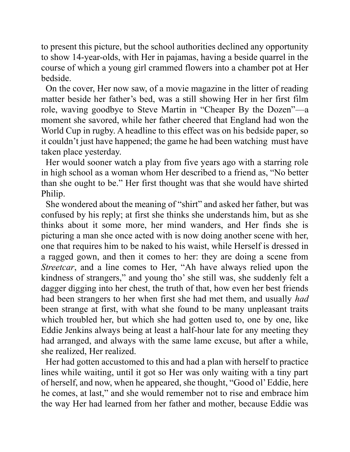to present this picture, but the school authorities declined any opportunity to show 14-year-olds, with Her in pajamas, having a beside quarrel in the course of which a young girl crammed flowers into a chamber pot at Her bedside.

 On the cover, Her now saw, of a movie magazine in the litter of reading matter beside her father's bed, was a still showing Her in her first film role, waving goodbye to Steve Martin in "Cheaper By the Dozen"—a moment she savored, while her father cheered that England had won the World Cup in rugby. A headline to this effect was on his bedside paper, so it couldn't just have happened; the game he had been watching must have taken place yesterday.

 Her would sooner watch a play from five years ago with a starring role in high school as a woman whom Her described to a friend as, "No better than she ought to be." Her first thought was that she would have shirted Philip.

 She wondered about the meaning of "shirt" and asked her father, but was confused by his reply; at first she thinks she understands him, but as she thinks about it some more, her mind wanders, and Her finds she is picturing a man she once acted with is now doing another scene with her, one that requires him to be naked to his waist, while Herself is dressed in a ragged gown, and then it comes to her: they are doing a scene from *Streetcar*, and a line comes to Her, "Ah have always relied upon the kindness of strangers," and young tho' she still was, she suddenly felt a dagger digging into her chest, the truth of that, how even her best friends had been strangers to her when first she had met them, and usually *had* been strange at first, with what she found to be many unpleasant traits which troubled her, but which she had gotten used to, one by one, like Eddie Jenkins always being at least a half-hour late for any meeting they had arranged, and always with the same lame excuse, but after a while, she realized, Her realized.

 Her had gotten accustomed to this and had a plan with herself to practice lines while waiting, until it got so Her was only waiting with a tiny part of herself, and now, when he appeared, she thought, "Good ol' Eddie, here he comes, at last," and she would remember not to rise and embrace him the way Her had learned from her father and mother, because Eddie was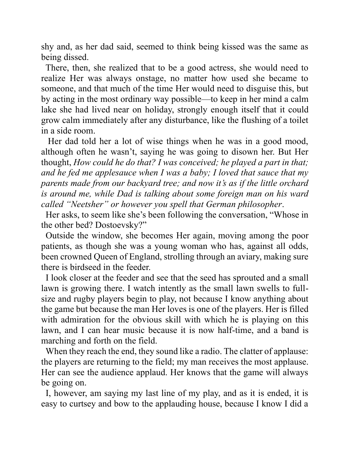shy and, as her dad said, seemed to think being kissed was the same as being dissed.

 There, then, she realized that to be a good actress, she would need to realize Her was always onstage, no matter how used she became to someone, and that much of the time Her would need to disguise this, but by acting in the most ordinary way possible—to keep in her mind a calm lake she had lived near on holiday, strongly enough itself that it could grow calm immediately after any disturbance, like the flushing of a toilet in a side room.

 Her dad told her a lot of wise things when he was in a good mood, although often he wasn't, saying he was going to disown her. But Her thought, *How could he do that? I was conceived; he played a part in that; and he fed me applesauce when I was a baby; I loved that sauce that my parents made from our backyard tree; and now it's as if the little orchard is around me, while Dad is talking about some foreign man on his ward called "Neetsher" or however you spell that German philosopher*.

 Her asks, to seem like she's been following the conversation, "Whose in the other bed? Dostoevsky?"

 Outside the window, she becomes Her again, moving among the poor patients, as though she was a young woman who has, against all odds, been crowned Queen of England, strolling through an aviary, making sure there is birdseed in the feeder.

 I look closer at the feeder and see that the seed has sprouted and a small lawn is growing there. I watch intently as the small lawn swells to fullsize and rugby players begin to play, not because I know anything about the game but because the man Her loves is one of the players. Her is filled with admiration for the obvious skill with which he is playing on this lawn, and I can hear music because it is now half-time, and a band is marching and forth on the field.

 When they reach the end, they sound like a radio. The clatter of applause: the players are returning to the field; my man receives the most applause. Her can see the audience applaud. Her knows that the game will always be going on.

 I, however, am saying my last line of my play, and as it is ended, it is easy to curtsey and bow to the applauding house, because I know I did a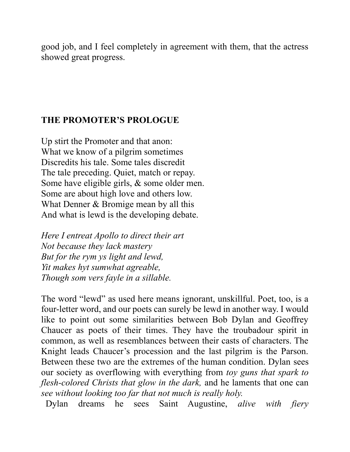good job, and I feel completely in agreement with them, that the actress showed great progress.

## **THE PROMOTER'S PROLOGUE**

Up stirt the Promoter and that anon: What we know of a pilgrim sometimes Discredits his tale. Some tales discredit The tale preceding. Quiet, match or repay. Some have eligible girls, & some older men. Some are about high love and others low. What Denner & Bromige mean by all this And what is lewd is the developing debate.

*Here I entreat Apollo to direct their art Not because they lack mastery But for the rym ys light and lewd, Yit makes hyt sumwhat agreable, Though som vers fayle in a sillable.*

The word "lewd" as used here means ignorant, unskillful. Poet, too, is a four-letter word, and our poets can surely be lewd in another way. I would like to point out some similarities between Bob Dylan and Geoffrey Chaucer as poets of their times. They have the troubadour spirit in common, as well as resemblances between their casts of characters. The Knight leads Chaucer's procession and the last pilgrim is the Parson. Between these two are the extremes of the human condition. Dylan sees our society as overflowing with everything from *toy guns that spark to flesh-colored Christs that glow in the dark,* and he laments that one can *see without looking too far that not much is really holy.*

Dylan dreams he sees Saint Augustine, *alive with fiery*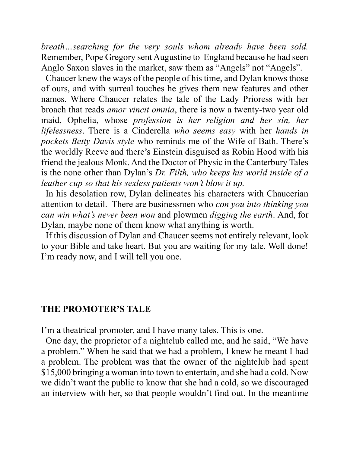*breath…searching for the very souls whom already have been sold.*  Remember, Pope Gregory sent Augustine to England because he had seen Anglo Saxon slaves in the market, saw them as "Angels" not "Angels".

 Chaucer knew the ways of the people of his time, and Dylan knows those of ours, and with surreal touches he gives them new features and other names. Where Chaucer relates the tale of the Lady Prioress with her broach that reads *amor vincit omnia*, there is now a twenty-two year old maid, Ophelia, whose *profession is her religion and her sin, her lifelessness*. There is a Cinderella *who seems easy* with her *hands in pockets Betty Davis style* who reminds me of the Wife of Bath. There's the worldly Reeve and there's Einstein disguised as Robin Hood with his friend the jealous Monk. And the Doctor of Physic in the Canterbury Tales is the none other than Dylan's *Dr. Filth, who keeps his world inside of a leather cup so that his sexless patients won't blow it up.*

 In his desolation row, Dylan delineates his characters with Chaucerian attention to detail. There are businessmen who *con you into thinking you can win what's never been won* and plowmen *digging the earth*. And, for Dylan, maybe none of them know what anything is worth.

 If this discussion of Dylan and Chaucer seems not entirely relevant, look to your Bible and take heart. But you are waiting for my tale. Well done! I'm ready now, and I will tell you one.

#### **THE PROMOTER'S TALE**

I'm a theatrical promoter, and I have many tales. This is one.

 One day, the proprietor of a nightclub called me, and he said, "We have a problem." When he said that we had a problem, I knew he meant I had a problem. The problem was that the owner of the nightclub had spent \$15,000 bringing a woman into town to entertain, and she had a cold. Now we didn't want the public to know that she had a cold, so we discouraged an interview with her, so that people wouldn't find out. In the meantime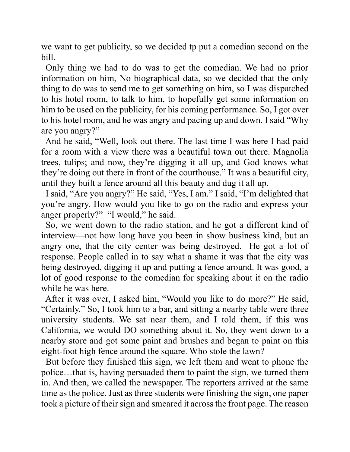we want to get publicity, so we decided tp put a comedian second on the bill.

 Only thing we had to do was to get the comedian. We had no prior information on him, No biographical data, so we decided that the only thing to do was to send me to get something on him, so I was dispatched to his hotel room, to talk to him, to hopefully get some information on him to be used on the publicity, for his coming performance. So, I got over to his hotel room, and he was angry and pacing up and down. I said "Why are you angry?"

 And he said, "Well, look out there. The last time I was here I had paid for a room with a view there was a beautiful town out there. Magnolia trees, tulips; and now, they're digging it all up, and God knows what they're doing out there in front of the courthouse." It was a beautiful city, until they built a fence around all this beauty and dug it all up.

 I said, "Are you angry?" He said, "Yes, I am." I said, "I'm delighted that you're angry. How would you like to go on the radio and express your anger properly?" "I would," he said.

 So, we went down to the radio station, and he got a different kind of interview—not how long have you been in show business kind, but an angry one, that the city center was being destroyed. He got a lot of response. People called in to say what a shame it was that the city was being destroyed, digging it up and putting a fence around. It was good, a lot of good response to the comedian for speaking about it on the radio while he was here.

 After it was over, I asked him, "Would you like to do more?" He said, "Certainly." So, I took him to a bar, and sitting a nearby table were three university students. We sat near them, and I told them, if this was California, we would DO something about it. So, they went down to a nearby store and got some paint and brushes and began to paint on this eight-foot high fence around the square. Who stole the lawn?

 But before they finished this sign, we left them and went to phone the police…that is, having persuaded them to paint the sign, we turned them in. And then, we called the newspaper. The reporters arrived at the same time as the police. Just as three students were finishing the sign, one paper took a picture of their sign and smeared it across the front page. The reason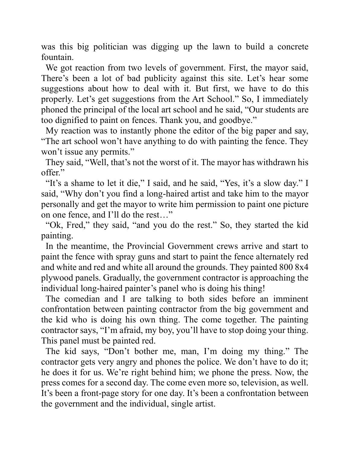was this big politician was digging up the lawn to build a concrete fountain.

 We got reaction from two levels of government. First, the mayor said, There's been a lot of bad publicity against this site. Let's hear some suggestions about how to deal with it. But first, we have to do this properly. Let's get suggestions from the Art School." So, I immediately phoned the principal of the local art school and he said, "Our students are too dignified to paint on fences. Thank you, and goodbye."

 My reaction was to instantly phone the editor of the big paper and say, "The art school won't have anything to do with painting the fence. They won't issue any permits."

 They said, "Well, that's not the worst of it. The mayor has withdrawn his offer."

"It's a shame to let it die," I said, and he said, "Yes, it's a slow day." I said, "Why don't you find a long-haired artist and take him to the mayor personally and get the mayor to write him permission to paint one picture on one fence, and I'll do the rest…"

 "Ok, Fred," they said, "and you do the rest." So, they started the kid painting.

 In the meantime, the Provincial Government crews arrive and start to paint the fence with spray guns and start to paint the fence alternately red and white and red and white all around the grounds. They painted 800 8x4 plywood panels. Gradually, the government contractor is approaching the individual long-haired painter's panel who is doing his thing!

 The comedian and I are talking to both sides before an imminent confrontation between painting contractor from the big government and the kid who is doing his own thing. The come together. The painting contractor says, "I'm afraid, my boy, you'll have to stop doing your thing. This panel must be painted red.

 The kid says, "Don't bother me, man, I'm doing my thing." The contractor gets very angry and phones the police. We don't have to do it; he does it for us. We're right behind him; we phone the press. Now, the press comes for a second day. The come even more so, television, as well. It's been a front-page story for one day. It's been a confrontation between the government and the individual, single artist.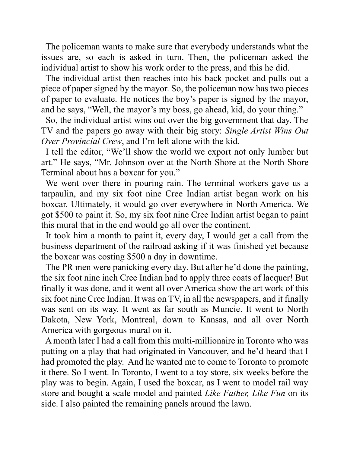The policeman wants to make sure that everybody understands what the issues are, so each is asked in turn. Then, the policeman asked the individual artist to show his work order to the press, and this he did.

 The individual artist then reaches into his back pocket and pulls out a piece of paper signed by the mayor. So, the policeman now has two pieces of paper to evaluate. He notices the boy's paper is signed by the mayor, and he says, "Well, the mayor's my boss, go ahead, kid, do your thing."

 So, the individual artist wins out over the big government that day. The TV and the papers go away with their big story: *Single Artist Wins Out Over Provincial Crew*, and I'm left alone with the kid.

 I tell the editor, "We'll show the world we export not only lumber but art." He says, "Mr. Johnson over at the North Shore at the North Shore Terminal about has a boxcar for you."

 We went over there in pouring rain. The terminal workers gave us a tarpaulin, and my six foot nine Cree Indian artist began work on his boxcar. Ultimately, it would go over everywhere in North America. We got \$500 to paint it. So, my six foot nine Cree Indian artist began to paint this mural that in the end would go all over the continent.

 It took him a month to paint it, every day, I would get a call from the business department of the railroad asking if it was finished yet because the boxcar was costing \$500 a day in downtime.

 The PR men were panicking every day. But after he'd done the painting, the six foot nine inch Cree Indian had to apply three coats of lacquer! But finally it was done, and it went all over America show the art work of this six foot nine Cree Indian. It was on TV, in all the newspapers, and it finally was sent on its way. It went as far south as Muncie. It went to North Dakota, New York, Montreal, down to Kansas, and all over North America with gorgeous mural on it.

 A month later I had a call from this multi-millionaire in Toronto who was putting on a play that had originated in Vancouver, and he'd heard that I had promoted the play. And he wanted me to come to Toronto to promote it there. So I went. In Toronto, I went to a toy store, six weeks before the play was to begin. Again, I used the boxcar, as I went to model rail way store and bought a scale model and painted *Like Father, Like Fun* on its side. I also painted the remaining panels around the lawn.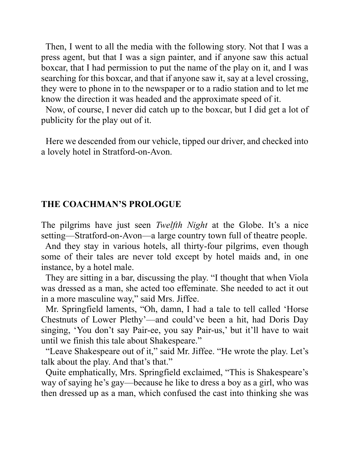Then, I went to all the media with the following story. Not that I was a press agent, but that I was a sign painter, and if anyone saw this actual boxcar, that I had permission to put the name of the play on it, and I was searching for this boxcar, and that if anyone saw it, say at a level crossing, they were to phone in to the newspaper or to a radio station and to let me know the direction it was headed and the approximate speed of it.

 Now, of course, I never did catch up to the boxcar, but I did get a lot of publicity for the play out of it.

 Here we descended from our vehicle, tipped our driver, and checked into a lovely hotel in Stratford-on-Avon.

### **THE COACHMAN'S PROLOGUE**

The pilgrims have just seen *Twelfth Night* at the Globe. It's a nice setting—Stratford-on-Avon—a large country town full of theatre people.

 And they stay in various hotels, all thirty-four pilgrims, even though some of their tales are never told except by hotel maids and, in one instance, by a hotel male.

 They are sitting in a bar, discussing the play. "I thought that when Viola was dressed as a man, she acted too effeminate. She needed to act it out in a more masculine way," said Mrs. Jiffee.

 Mr. Springfield laments, "Oh, damn, I had a tale to tell called 'Horse Chestnuts of Lower Plethy'—and could've been a hit, had Doris Day singing, 'You don't say Pair-ee, you say Pair-us,' but it'll have to wait until we finish this tale about Shakespeare."

 "Leave Shakespeare out of it," said Mr. Jiffee. "He wrote the play. Let's talk about the play. And that's that."

 Quite emphatically, Mrs. Springfield exclaimed, "This is Shakespeare's way of saying he's gay—because he like to dress a boy as a girl, who was then dressed up as a man, which confused the cast into thinking she was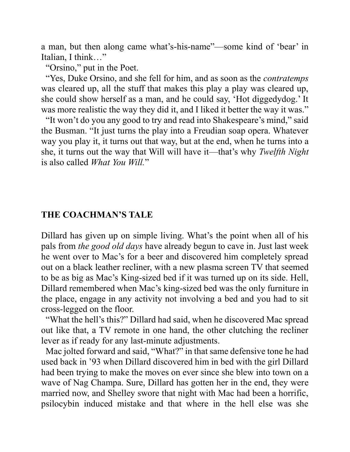a man, but then along came what's-his-name"—some kind of 'bear' in Italian, I think…"

"Orsino," put in the Poet.

 "Yes, Duke Orsino, and she fell for him, and as soon as the *contratemps* was cleared up, all the stuff that makes this play a play was cleared up, she could show herself as a man, and he could say, 'Hot diggedydog.' It was more realistic the way they did it, and I liked it better the way it was."

 "It won't do you any good to try and read into Shakespeare's mind," said the Busman. "It just turns the play into a Freudian soap opera. Whatever way you play it, it turns out that way, but at the end, when he turns into a she, it turns out the way that Will will have it—that's why *Twelfth Night* is also called *What You Will.*"

## **THE COACHMAN'S TALE**

Dillard has given up on simple living. What's the point when all of his pals from *the good old days* have already begun to cave in. Just last week he went over to Mac's for a beer and discovered him completely spread out on a black leather recliner, with a new plasma screen TV that seemed to be as big as Mac's King-sized bed if it was turned up on its side. Hell, Dillard remembered when Mac's king-sized bed was the only furniture in the place, engage in any activity not involving a bed and you had to sit cross-legged on the floor.

 "What the hell's this?" Dillard had said, when he discovered Mac spread out like that, a TV remote in one hand, the other clutching the recliner lever as if ready for any last-minute adjustments.

 Mac jolted forward and said, "What?" in that same defensive tone he had used back in '93 when Dillard discovered him in bed with the girl Dillard had been trying to make the moves on ever since she blew into town on a wave of Nag Champa. Sure, Dillard has gotten her in the end, they were married now, and Shelley swore that night with Mac had been a horrific, psilocybin induced mistake and that where in the hell else was she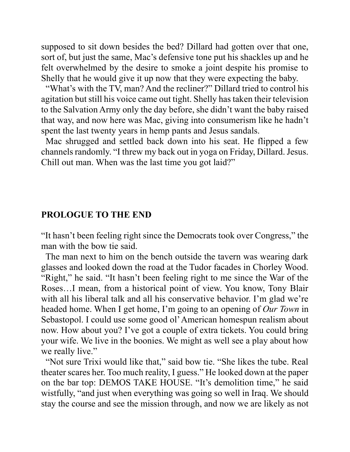supposed to sit down besides the bed? Dillard had gotten over that one, sort of, but just the same, Mac's defensive tone put his shackles up and he felt overwhelmed by the desire to smoke a joint despite his promise to Shelly that he would give it up now that they were expecting the baby.

 "What's with the TV, man? And the recliner?" Dillard tried to control his agitation but still his voice came out tight. Shelly has taken their television to the Salvation Army only the day before, she didn't want the baby raised that way, and now here was Mac, giving into consumerism like he hadn't spent the last twenty years in hemp pants and Jesus sandals.

 Mac shrugged and settled back down into his seat. He flipped a few channels randomly. "I threw my back out in yoga on Friday, Dillard. Jesus. Chill out man. When was the last time you got laid?"

### **PROLOGUE TO THE END**

"It hasn't been feeling right since the Democrats took over Congress," the man with the bow tie said.

 The man next to him on the bench outside the tavern was wearing dark glasses and looked down the road at the Tudor facades in Chorley Wood. "Right," he said. "It hasn't been feeling right to me since the War of the Roses…I mean, from a historical point of view. You know, Tony Blair with all his liberal talk and all his conservative behavior. I'm glad we're headed home. When I get home, I'm going to an opening of *Our Town* in Sebastopol. I could use some good ol' American homespun realism about now. How about you? I've got a couple of extra tickets. You could bring your wife. We live in the boonies. We might as well see a play about how we really live."

 "Not sure Trixi would like that," said bow tie. "She likes the tube. Real theater scares her. Too much reality, I guess." He looked down at the paper on the bar top: DEMOS TAKE HOUSE. "It's demolition time," he said wistfully, "and just when everything was going so well in Iraq. We should stay the course and see the mission through, and now we are likely as not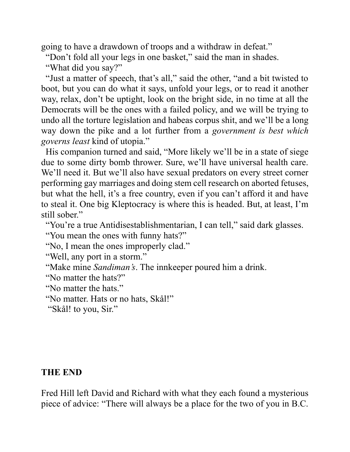going to have a drawdown of troops and a withdraw in defeat."

"Don't fold all your legs in one basket," said the man in shades.

"What did you say?"

 "Just a matter of speech, that's all," said the other, "and a bit twisted to boot, but you can do what it says, unfold your legs, or to read it another way, relax, don't be uptight, look on the bright side, in no time at all the Democrats will be the ones with a failed policy, and we will be trying to undo all the torture legislation and habeas corpus shit, and we'll be a long way down the pike and a lot further from a *government is best which governs least* kind of utopia."

 His companion turned and said, "More likely we'll be in a state of siege due to some dirty bomb thrower. Sure, we'll have universal health care. We'll need it. But we'll also have sexual predators on every street corner performing gay marriages and doing stem cell research on aborted fetuses, but what the hell, it's a free country, even if you can't afford it and have to steal it. One big Kleptocracy is where this is headed. But, at least, I'm still sober."

"You're a true Antidisestablishmentarian, I can tell," said dark glasses.

"You mean the ones with funny hats?"

"No, I mean the ones improperly clad."

```
 "Well, any port in a storm."
```
"Make mine *Sandiman's*. The innkeeper poured him a drink.

"No matter the hats?"

"No matter the hats."

"No matter. Hats or no hats, Skål!"

"Skål! to you, Sir."

### **THE END**

Fred Hill left David and Richard with what they each found a mysterious piece of advice: "There will always be a place for the two of you in B.C.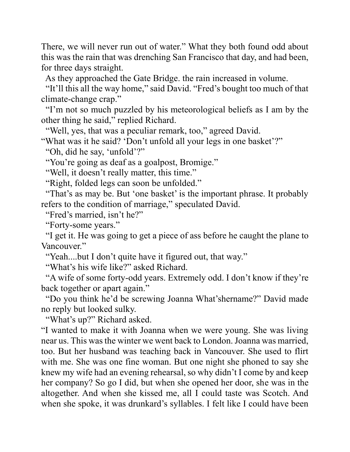There, we will never run out of water." What they both found odd about this was the rain that was drenching San Francisco that day, and had been, for three days straight.

As they approached the Gate Bridge. the rain increased in volume.

 "It'll this all the way home," said David. "Fred's bought too much of that climate-change crap."

 "I'm not so much puzzled by his meteorological beliefs as I am by the other thing he said," replied Richard.

"Well, yes, that was a peculiar remark, too," agreed David.

"What was it he said? 'Don't unfold all your legs in one basket'?"

"Oh, did he say, 'unfold'?"

"You're going as deaf as a goalpost, Bromige."

"Well, it doesn't really matter, this time."

"Right, folded legs can soon be unfolded."

 "That's as may be. But 'one basket' is the important phrase. It probably refers to the condition of marriage," speculated David.

"Fred's married, isn't he?"

"Forty-some years."

 "I get it. He was going to get a piece of ass before he caught the plane to Vancouver."

"Yeah....but I don't quite have it figured out, that way."

"What's his wife like?" asked Richard.

 "A wife of some forty-odd years. Extremely odd. I don't know if they're back together or apart again."

 "Do you think he'd be screwing Joanna What'shername?" David made no reply but looked sulky.

"What's up?" Richard asked.

"I wanted to make it with Joanna when we were young. She was living near us. This was the winter we went back to London. Joanna was married, too. But her husband was teaching back in Vancouver. She used to flirt with me. She was one fine woman. But one night she phoned to say she knew my wife had an evening rehearsal, so why didn't I come by and keep her company? So go I did, but when she opened her door, she was in the altogether. And when she kissed me, all I could taste was Scotch. And when she spoke, it was drunkard's syllables. I felt like I could have been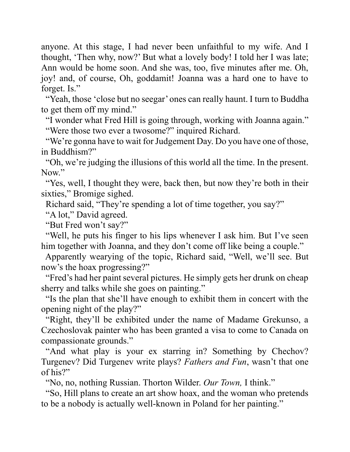anyone. At this stage, I had never been unfaithful to my wife. And I thought, 'Then why, now?' But what a lovely body! I told her I was late; Ann would be home soon. And she was, too, five minutes after me. Oh, joy! and, of course, Oh, goddamit! Joanna was a hard one to have to forget. Is."

 "Yeah, those 'close but no seegar' ones can really haunt. I turn to Buddha to get them off my mind."

 "I wonder what Fred Hill is going through, working with Joanna again." "Were those two ever a twosome?" inquired Richard.

 "We're gonna have to wait for Judgement Day. Do you have one of those, in Buddhism?"

 "Oh, we're judging the illusions of this world all the time. In the present. Now."

 "Yes, well, I thought they were, back then, but now they're both in their sixties," Bromige sighed.

Richard said, "They're spending a lot of time together, you say?"

"A lot," David agreed.

"But Fred won't say?"

 "Well, he puts his finger to his lips whenever I ask him. But I've seen him together with Joanna, and they don't come off like being a couple."

 Apparently wearying of the topic, Richard said, "Well, we'll see. But now's the hoax progressing?"

 "Fred's had her paint several pictures. He simply gets her drunk on cheap sherry and talks while she goes on painting."

 "Is the plan that she'll have enough to exhibit them in concert with the opening night of the play?"

 "Right, they'll be exhibited under the name of Madame Grekunso, a Czechoslovak painter who has been granted a visa to come to Canada on compassionate grounds."

 "And what play is your ex starring in? Something by Chechov? Turgenev? Did Turgenev write plays? *Fathers and Fun*, wasn't that one of his?"

"No, no, nothing Russian. Thorton Wilder. *Our Town,* I think."

 "So, Hill plans to create an art show hoax, and the woman who pretends to be a nobody is actually well-known in Poland for her painting."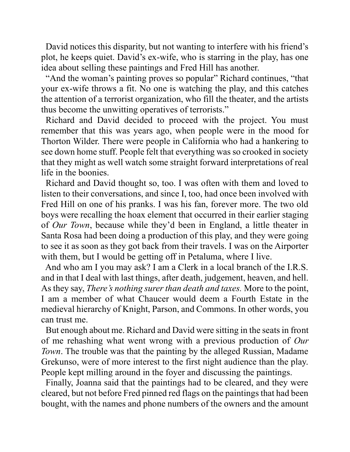David notices this disparity, but not wanting to interfere with his friend's plot, he keeps quiet. David's ex-wife, who is starring in the play, has one idea about selling these paintings and Fred Hill has another.

 "And the woman's painting proves so popular" Richard continues, "that your ex-wife throws a fit. No one is watching the play, and this catches the attention of a terrorist organization, who fill the theater, and the artists thus become the unwitting operatives of terrorists."

 Richard and David decided to proceed with the project. You must remember that this was years ago, when people were in the mood for Thorton Wilder. There were people in California who had a hankering to see down home stuff. People felt that everything was so crooked in society that they might as well watch some straight forward interpretations of real life in the boonies.

 Richard and David thought so, too. I was often with them and loved to listen to their conversations, and since I, too, had once been involved with Fred Hill on one of his pranks. I was his fan, forever more. The two old boys were recalling the hoax element that occurred in their earlier staging of *Our Town*, because while they'd been in England, a little theater in Santa Rosa had been doing a production of this play, and they were going to see it as soon as they got back from their travels. I was on the Airporter with them, but I would be getting off in Petaluma, where I live.

 And who am I you may ask? I am a Clerk in a local branch of the I.R.S. and in that I deal with last things, after death, judgement, heaven, and hell. As they say, *There's nothing surer than death and taxes.* More to the point, I am a member of what Chaucer would deem a Fourth Estate in the medieval hierarchy of Knight, Parson, and Commons. In other words, you can trust me.

 But enough about me. Richard and David were sitting in the seats in front of me rehashing what went wrong with a previous production of *Our Town*. The trouble was that the painting by the alleged Russian, Madame Grekunso, were of more interest to the first night audience than the play. People kept milling around in the foyer and discussing the paintings.

 Finally, Joanna said that the paintings had to be cleared, and they were cleared, but not before Fred pinned red flags on the paintings that had been bought, with the names and phone numbers of the owners and the amount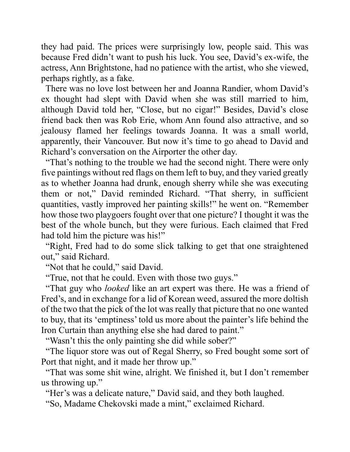they had paid. The prices were surprisingly low, people said. This was because Fred didn't want to push his luck. You see, David's ex-wife, the actress, Ann Brightstone, had no patience with the artist, who she viewed, perhaps rightly, as a fake.

 There was no love lost between her and Joanna Randier, whom David's ex thought had slept with David when she was still married to him, although David told her, "Close, but no cigar!" Besides, David's close friend back then was Rob Erie, whom Ann found also attractive, and so jealousy flamed her feelings towards Joanna. It was a small world, apparently, their Vancouver. But now it's time to go ahead to David and Richard's conversation on the Airporter the other day.

 "That's nothing to the trouble we had the second night. There were only five paintings without red flags on them left to buy, and they varied greatly as to whether Joanna had drunk, enough sherry while she was executing them or not," David reminded Richard. "That sherry, in sufficient quantities, vastly improved her painting skills!" he went on. "Remember how those two playgoers fought over that one picture? I thought it was the best of the whole bunch, but they were furious. Each claimed that Fred had told him the picture was his!"

 "Right, Fred had to do some slick talking to get that one straightened out," said Richard.

"Not that he could," said David.

"True, not that he could. Even with those two guys."

 "That guy who *looked* like an art expert was there. He was a friend of Fred's, and in exchange for a lid of Korean weed, assured the more doltish of the two that the pick of the lot was really that picture that no one wanted to buy, that its 'emptiness' told us more about the painter's life behind the Iron Curtain than anything else she had dared to paint."

"Wasn't this the only painting she did while sober?"

 "The liquor store was out of Regal Sherry, so Fred bought some sort of Port that night, and it made her throw up."

 "That was some shit wine, alright. We finished it, but I don't remember us throwing up."

"Her's was a delicate nature," David said, and they both laughed.

"So, Madame Chekovski made a mint," exclaimed Richard.